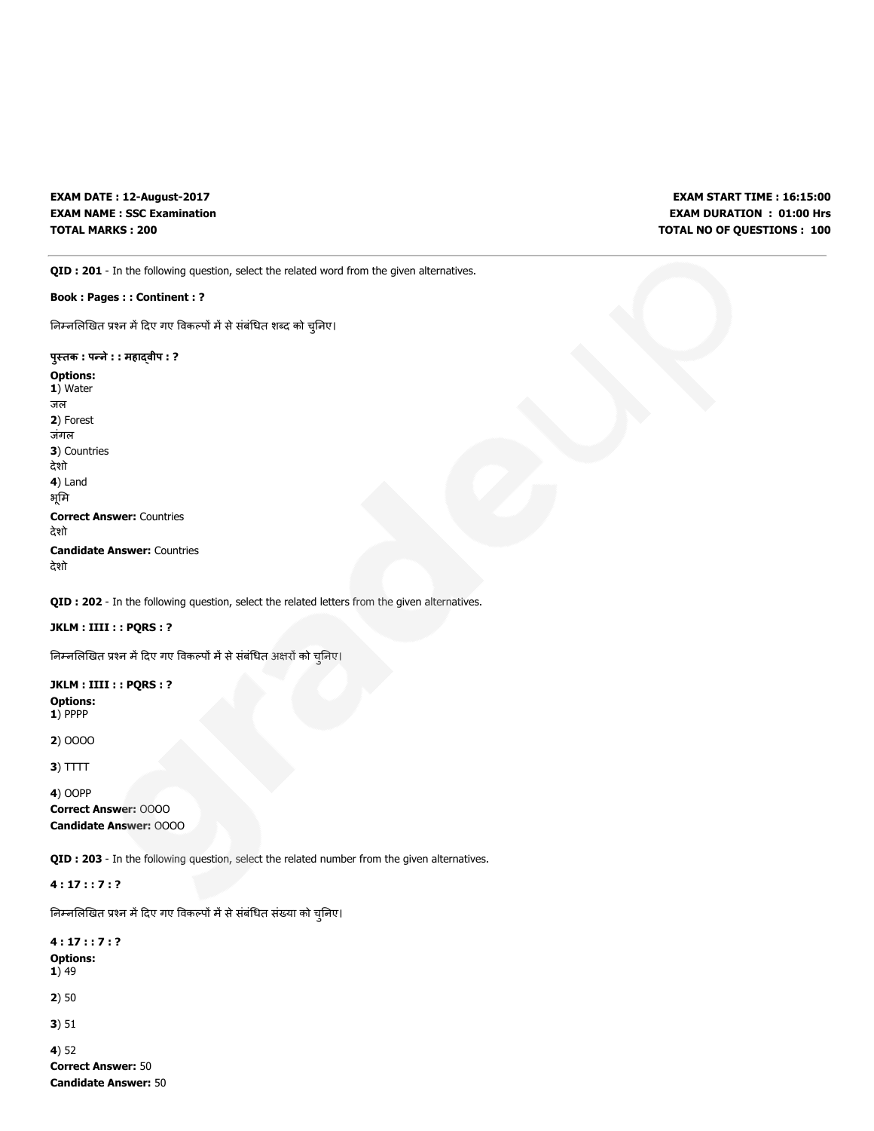EXAM DATE : 12-August-2017 EXAM NAME : SSC Examination TOTAL MARKS : 200

EXAM START TIME : 16:15:00 EXAM DURATION : 01:00 Hrs TOTAL NO OF QUESTIONS : 100

QID : 201 - In the following question, select the related word from the given alternatives.

Book : Pages : : Continent : ?

निम्नलिखित प्रश्न में दिए गए विकल्पों में से संबंधित शब्द को चुनिए।

पुतक : पने: : महावीप : ? Options: 1) Water जल 2) Forest जंगल 3) Countries देशो 4) Land भूमि Correct Answer: Countries देशो Candidate Answer: Countries देशो

QID : 202 - In the following question, select the related letters from the given alternatives.

JKLM : IIII : : PQRS : ?

निम्नलिखित प्रश्न में दिए गए विकल्पों में से संबंधित अक्षरों को चुनिए।

JKLM : IIII : : PQRS : ? Options: 1) PPPP

2) OOOO

 $3)$  TTTT

4) OOPP

Correct Answer: OOOO Candidate Answer: OOOO

QID : 203 - In the following question, select the related number from the given alternatives.

4 : 17 : : 7 : ?

निम्नलिखित प्रश्न में दिए गए विकल्पों में से संबंधित संख्या को चुनिए।

4 : 17 : : 7 : ? Options: 1) 49 2) 50 3) 51 4) 52 Correct Answer: 50

Candidate Answer: 50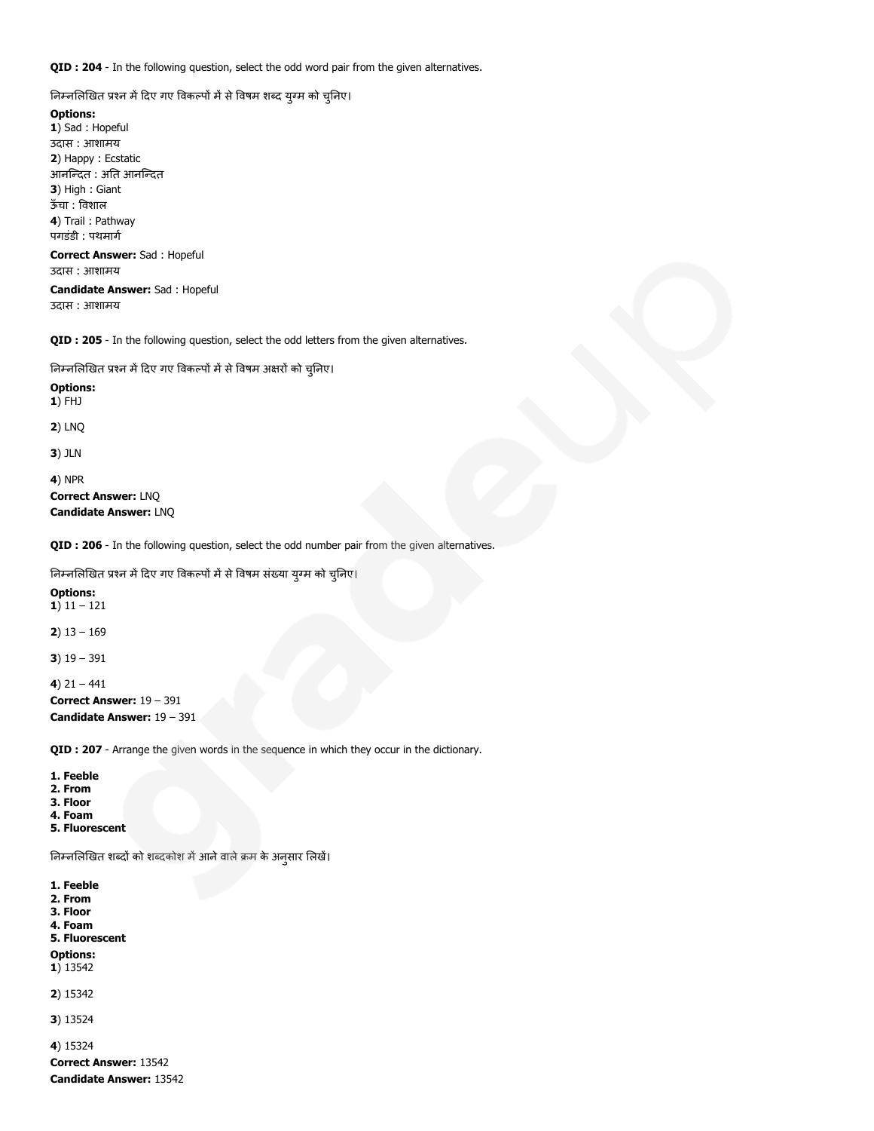QID : 204 - In the following question, select the odd word pair from the given alternatives.

निम्नलिखित प्रश्न में दिए गए विकल्पों में से विषम शब्द युग्म को चुनिए।

## Options:

1) Sad : Hopeful उदास : आशामय 2) Happy : Ecstatic आनन्दित : अति आनन्दित 3) High : Giant ऊँचा : वशाल 4) Trail : Pathway पगडंडी : पथमार्ग

#### Correct Answer: Sad : Hopeful उदास : आशामय

Candidate Answer: Sad : Hopeful उदास : आशामय

QID : 205 - In the following question, select the odd letters from the given alternatives.

निम्नलिखित प्रश्न में दिए गए विकल्पों में से विषम अक्षरों को चुनिए।

#### Options: 1) FHJ

2) LNQ

3) JLN

4) NPR

## Correct Answer: LNQ Candidate Answer: LNQ

QID : 206 - In the following question, select the odd number pair from the given alternatives.

निम्नलिखित प्रश्न में दिए गए विकल्पों में से विषम संख्या युग्म को चुनिए।

#### Options: 1)  $11 - 121$

2)  $13 - 169$ 

3)  $19 - 391$ 

4)  $21 - 441$ Correct Answer: 19 – 391 Candidate Answer: 19 – 391

QID : 207 - Arrange the given words in the sequence in which they occur in the dictionary.

- 1. Feeble
- 2. From
- 3. Floor 4. Foam
- 5. Fluorescent

निम्नलिखित शब्दों को शब्दकोश में आने वाले क्रम के अनुसार लिखें।

- 1. Feeble
- 2. From
- 3. Floor 4. Foam
- 5. Fluorescent

Options:

1) 13542

2) 15342

3) 13524

4) 15324

Correct Answer: 13542 Candidate Answer: 13542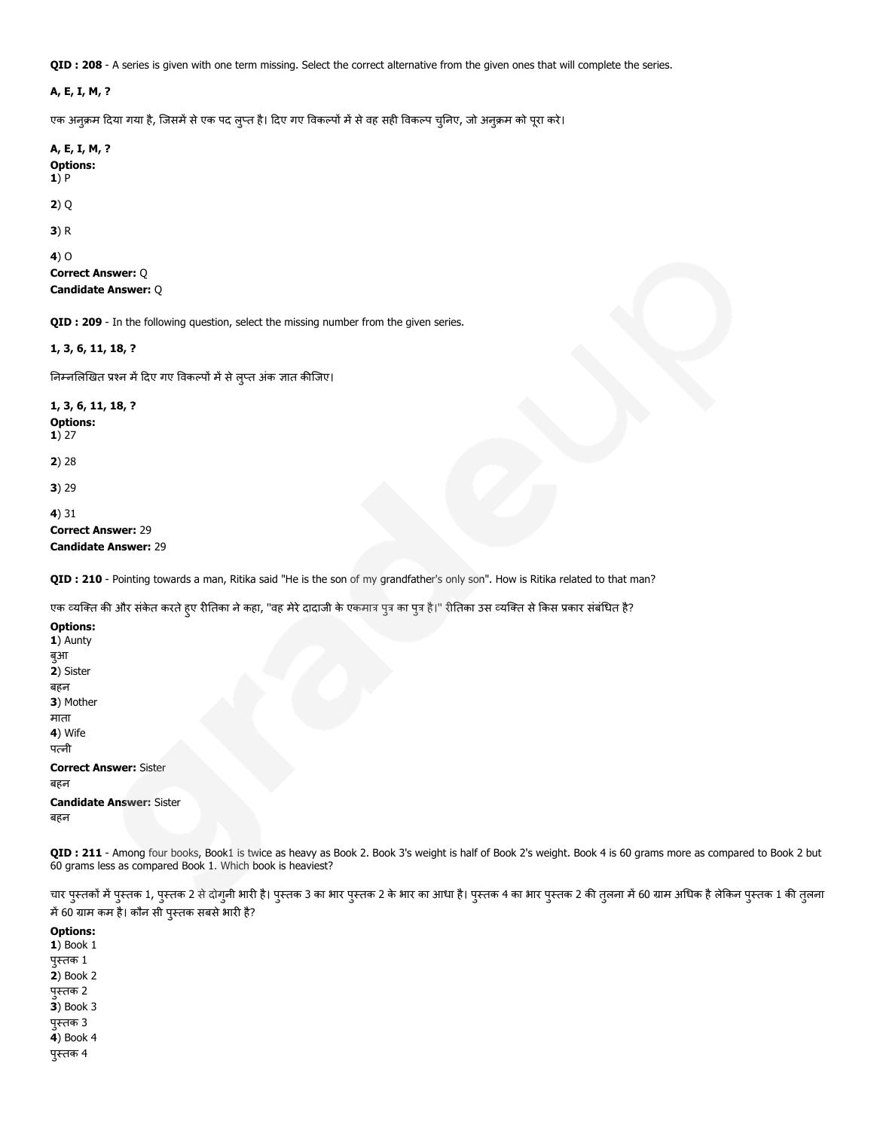QID : 208 - A series is given with one term missing. Select the correct alternative from the given ones that will complete the series.

#### A, E, I, M, ?

एक अनुक्रम दिया गया है, जिसमें से एक पद लुप्त है। दिए गए विकल्पों में से वह सही विकल्प चुनिए, जो अनुक्रम को पूरा करे।

A, E, I, M, ? Options: 1) P

2) Q

3) R

4) O

Correct Answer: Q Candidate Answer: Q

QID : 209 - In the following question, select the missing number from the given series.

#### 1, 3, 6, 11, 18, ?

निम्नलिखित प्रश्न में दिए गए विकल्पों में से लुप्त अंक ज्ञात कीजिए।

1, 3, 6, 11, 18, ? Options: 1) 27 2) 28 3) 29 4) 31 Correct Answer: 29 Candidate Answer: 29

QID : 210 - Pointing towards a man, Ritika said "He is the son of my grandfather's only son". How is Ritika related to that man?

एक व्यक्ति की और संकेत करते हुए रीतिका ने कहा, "वह मेरे दादाजी के एकमात्र पुत्र का पुत्र है।" रीतिका उस व्यक्ति से किस प्रकार संबंधित है?

Options: 1) Aunty बुआ 2) Sister बहन 3) Mother माता 4) Wife पनी Correct Answer: Sister बहन Candidate Answer: Sister बहन

QID : 211 - Among four books, Book1 is twice as heavy as Book 2. Book 3's weight is half of Book 2's weight. Book 4 is 60 grams more as compared to Book 2 but 60 grams less as compared Book 1. Which book is heaviest?

चार पुस्तकों में पुस्तक 1, पुस्तक 2 से दोगुनी भारी है। पुस्तक 3 का भार का आधा है। पुस्तक 4 का भार पुस्तक 2 की तुलना में 60 ग्राम अधिक है लेकिन पुस्तक 1 की तुलना में 60 ग्राम कम है। कौन सी पुस्तक सबसे भारी है?

Options: 1) Book 1 पुतक 1 2) Book 2 पुतक 2 3) Book 3 पुतक 3 4) Book 4 पुतक 4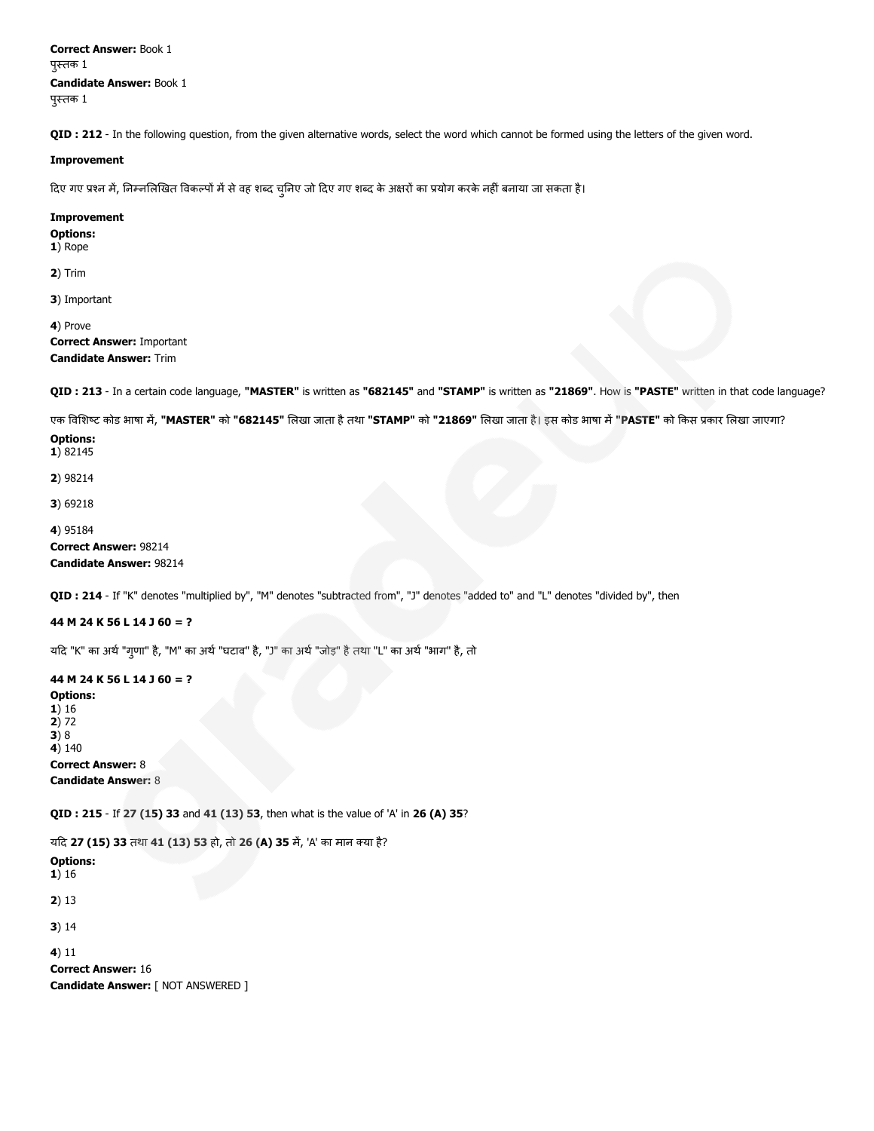Correct Answer: Book 1 पुतक 1 Candidate Answer: Book 1 पुतक 1

QID : 212 - In the following question, from the given alternative words, select the word which cannot be formed using the letters of the given word.

#### Improvement

दिए गए प्रश्न में, निम्नलिखित विकल्पों में से वह शब्द चुनिए जो दिए गए शब्द के अक्षरों का प्रयोग करके नहीं बनाया जा सकता है।

#### Improvement

Options: 1) Rope

2) Trim

3) Important

4) Prove Correct Answer: Important Candidate Answer: Trim

QID: 213 - In a certain code language, "MASTER" is written as "682145" and "STAMP" is written as "21869". How is "PASTE" written in that code language?

एक विशिष्ट कोड भाषा में, "MASTER" को "682145" लिखा जाता है तथा "STAMP" को "21869" लिखा जाता है। इस कोड भाषा में "PASTE" को किस प्रकार लिखा जाएगा?

#### Options: 1) 82145

2) 98214

3) 69218

## 4) 95184 Correct Answer: 98214 Candidate Answer: 98214

QID : 214 - If "K" denotes "multiplied by", "M" denotes "subtracted from", "J" denotes "added to" and "L" denotes "divided by", then

## 44 M 24 K 56 L 14 J 60 = ?

यद "K" का अथ"गुणा" है, "M" का अथ"घटाव" है, "J" का अथ"जोड़" हैतथा "L" का अथ"भाग" है, तो

44 M 24 K 56 L 14 J 60 = ? Options: 1) 16 2) 72 3) 8  $4)140$ Correct Answer: 8 Candidate Answer: 8

QID : 215 - If 27 (15) 33 and 41 (13) 53, then what is the value of 'A' in 26 (A) 35?

यद 27 (15) 33 तथा 41 (13) 53 हो, तो 26 (A) 35 म, 'A' का मान या है?

```
Options:
1) 16
```
2) 13

3) 14

4) 11

Correct Answer: 16 Candidate Answer: [ NOT ANSWERED ]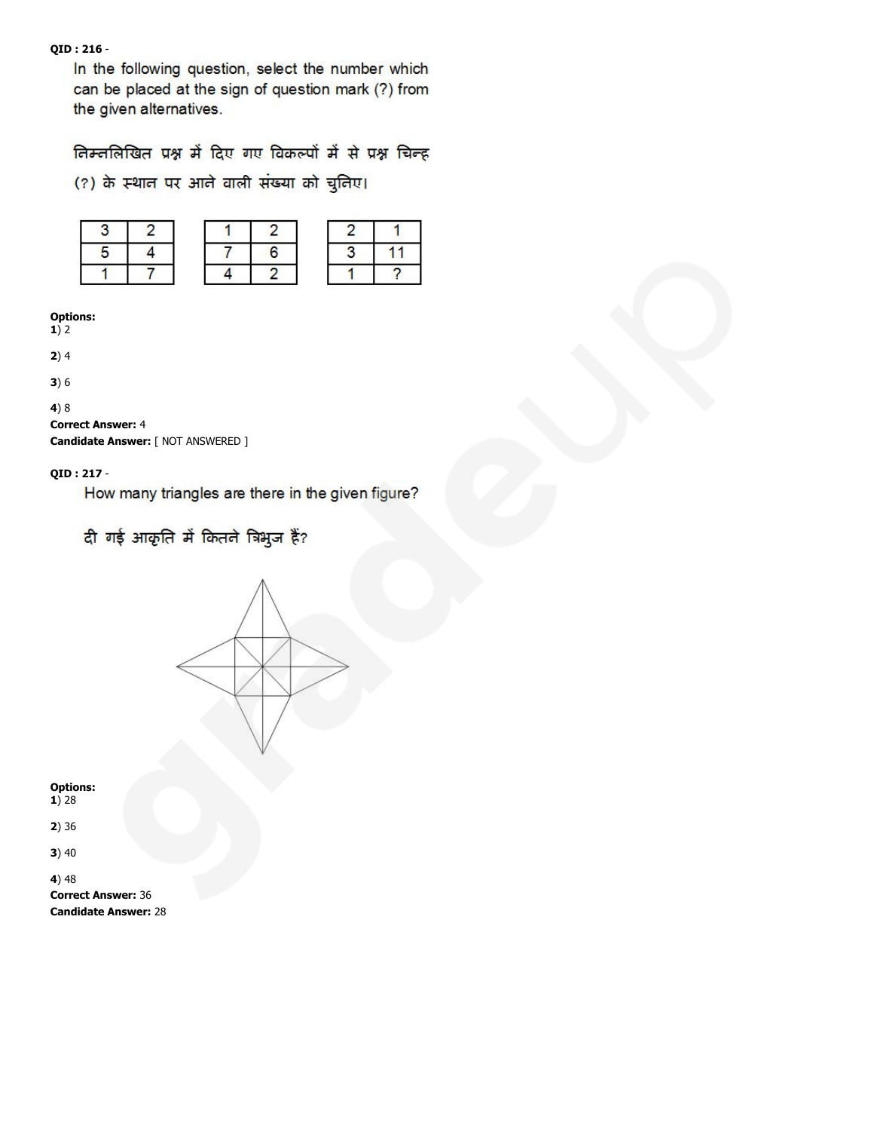# QID : 216 -

In the following question, select the number which can be placed at the sign of question mark (?) from the given alternatives.

निम्नलिखित प्रश्न में दिए गए विकल्पों में से प्रश्न चिन्ह

(?) के स्थान पर आने वाली संख्या को चुनिए।

## Options:

 $1)$  2

 $2)4$ 

3) 6

# 4) 8

# Correct Answer: 4

Candidate Answer: [ NOT ANSWERED ]

## QID : 217 -

How many triangles are there in the given figure?

दी गई आकृति में कितने त्रिभुज हैं?



Options: 1) 28

2) 36

3) 40

4) 48 Correct Answer: 36 Candidate Answer: 28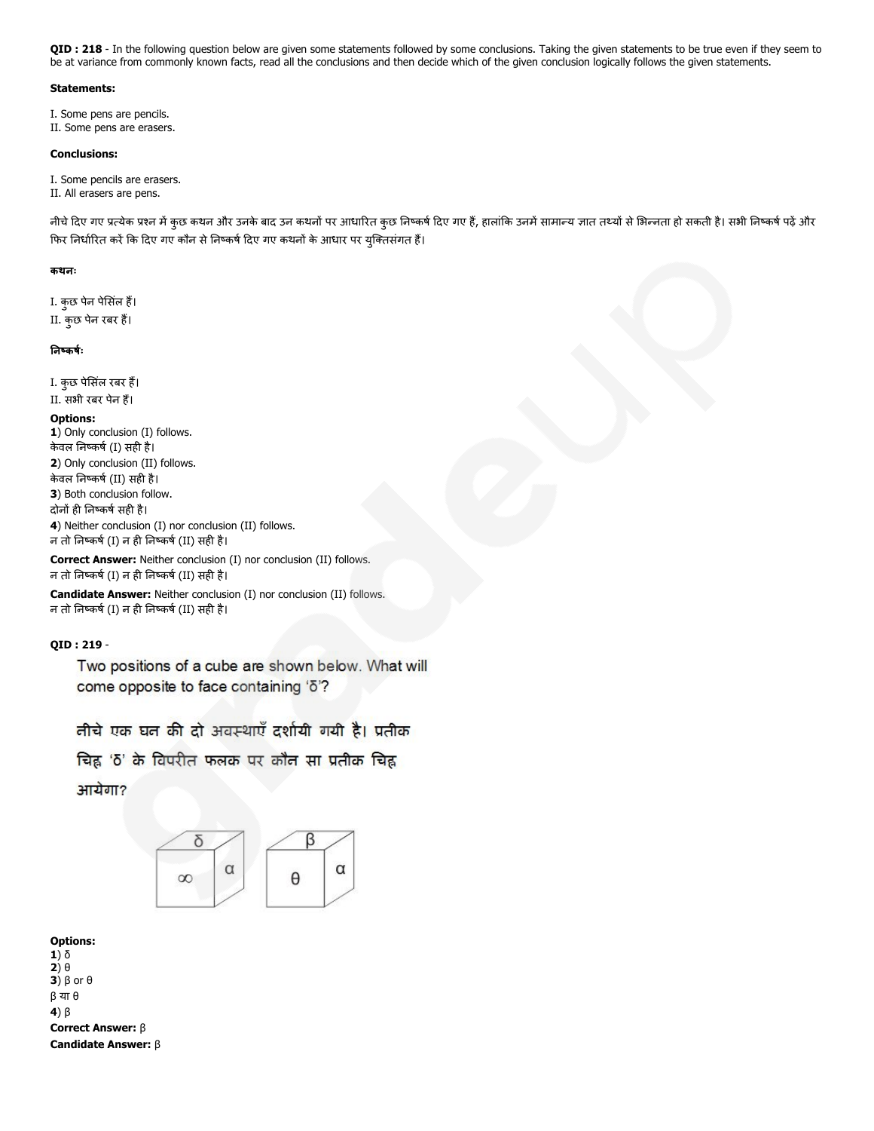QID : 218 - In the following question below are given some statements followed by some conclusions. Taking the given statements to be true even if they seem to be at variance from commonly known facts, read all the conclusions and then decide which of the given conclusion logically follows the given statements.

## Statements:

I. Some pens are pencils. II. Some pens are erasers.

#### Conclusions:

I. Some pencils are erasers.

II. All erasers are pens.

नीचे दिए गए प्रत्येक प्रश्न में कुछ कथन और उनके बाद उन कथनों पर आधारित कुछ निष्कर्ष दिए गए हैं, हालांकि उनमें सामान्य जात तथ्यों से भिन्नता हो सकती है। सभी निष्कर्ष पढ़ें और फिर निर्धारित करें कि दिए गए कौन से निष्कर्ष दिए गए कथनों के आधार पर युक्तिसंगत हैं।

#### कथनः

I. कुछ पेन पेसलं ह। II. कुछ पेन रबर ह।

## नकषः

I. कुछ पेसिंल रबर हैं। II. सभी रबर पेन ह।

## Options:

1) Only conclusion (I) follows. केवल निष्कर्ष (I) सही है। 2) Only conclusion (II) follows. केवल निष्कर्ष (II) सही है। 3) Both conclusion follow. दोनों ही निष्कर्ष सही है। 4) Neither conclusion (I) nor conclusion (II) follows. न तो निष्कर्ष (I) न ही निष्कर्ष (II) सही है।

Correct Answer: Neither conclusion (I) nor conclusion (II) follows.

न तो निष्कर्ष (I) न ही निष्कर्ष (II) सही है।

Candidate Answer: Neither conclusion (I) nor conclusion (II) follows. न तो निष्कर्ष (I) न ही निष्कर्ष (II) सही है।

## QID : 219 -

Two positions of a cube are shown below. What will come opposite to face containing 'ō'?

तीचे एक घत की दो अवस्थाएँ दर्शायी गयी है। प्रतीक

चिह्न 'δ' के विपरीत फलक पर कौन सा प्रतीक चिह्न आयेगा?



Options: 1) δ 2) θ 3)  $β$  or  $θ$ β या θ 4) β Correct Answer: β Candidate Answer: β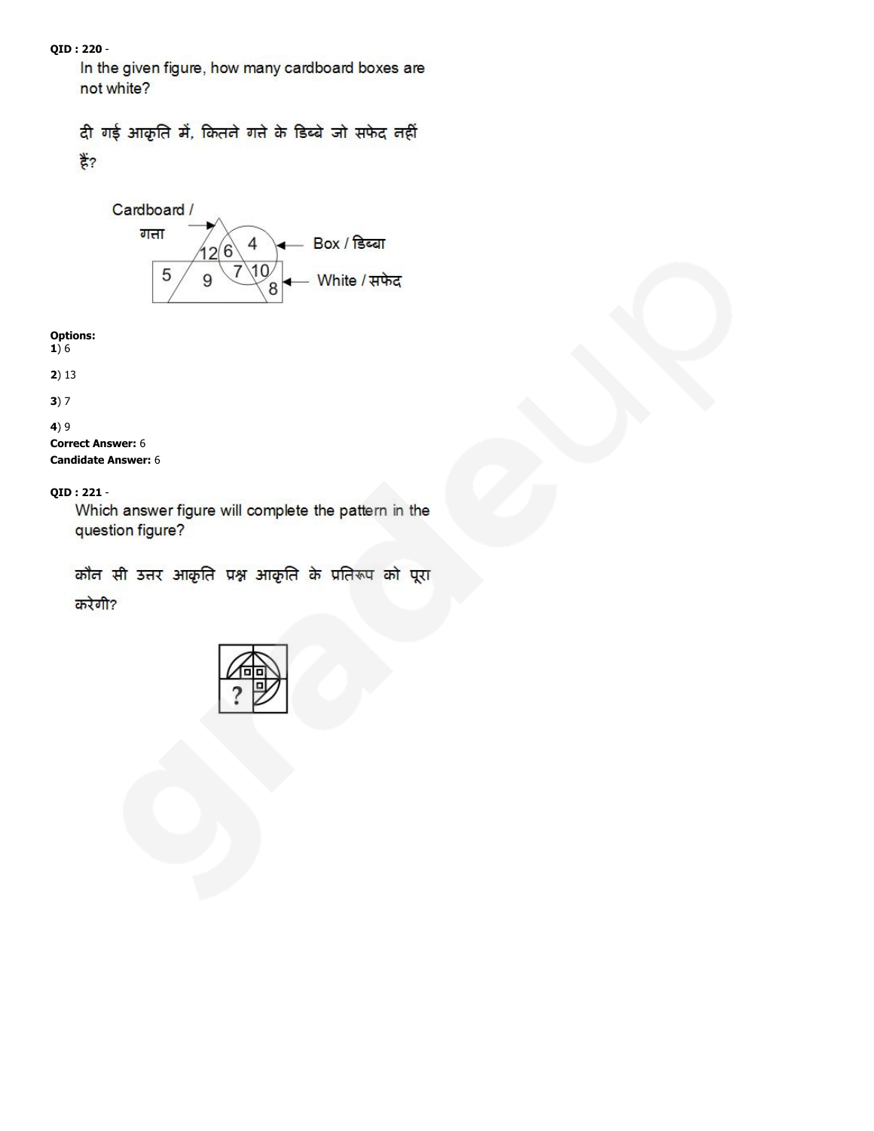# QID : 220 -

In the given figure, how many cardboard boxes are not white?

# दी गई आकृति में, कितने गते के डिब्बे जो सफेद नहीं  $\frac{4}{5}$ ?



# Options:

1) 6

# 2) 13

3) 7

# 4) 9

Correct Answer: 6 Candidate Answer: 6

# QID : 221 -

Which answer figure will complete the pattern in the question figure?

कौन सी उत्तर आकृति प्रश्न आकृति के प्रतिरूप को पूरा करेगी?

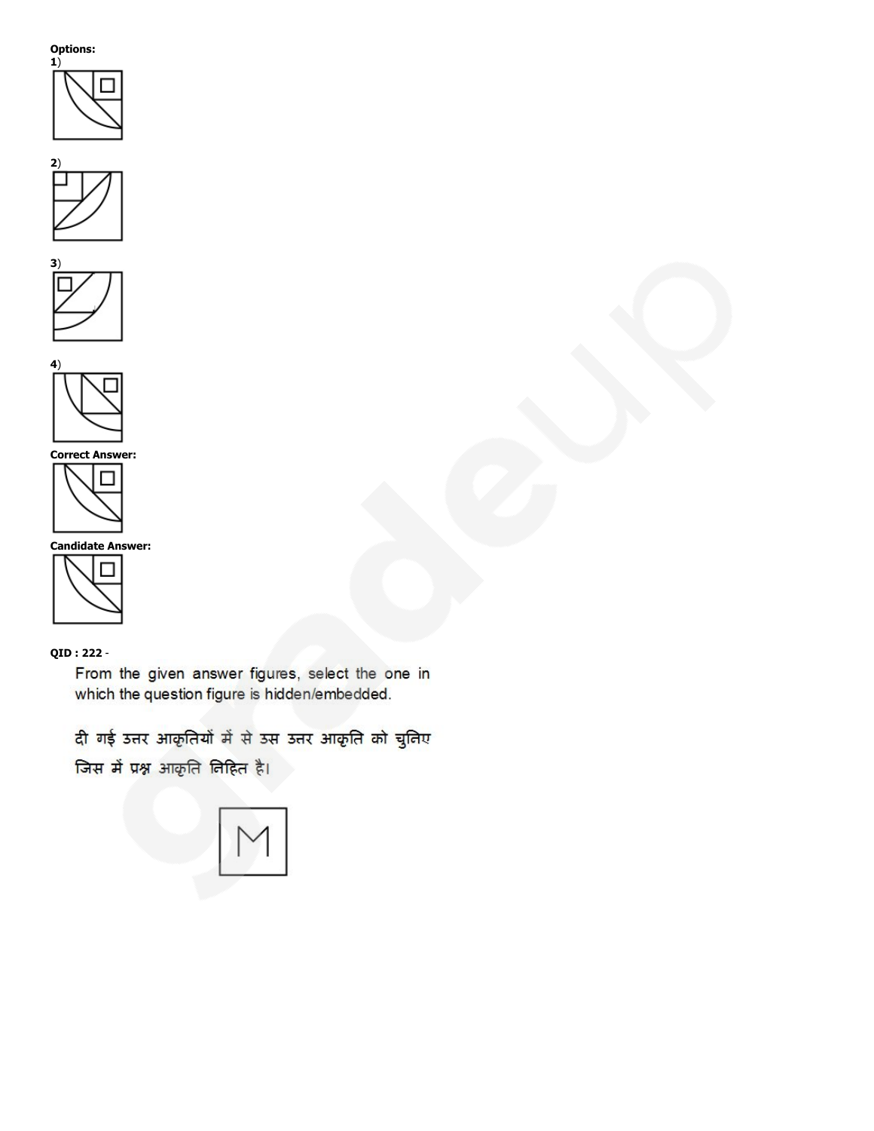







Correct Answer:



Candidate Answer:



# QID : 222 -

From the given answer figures, select the one in which the question figure is hidden/embedded.

दी गई उत्तर आकृतियों में से उस उत्तर आकृति को चुनिए **जिस में प्रश्न** आकृति निहित है।

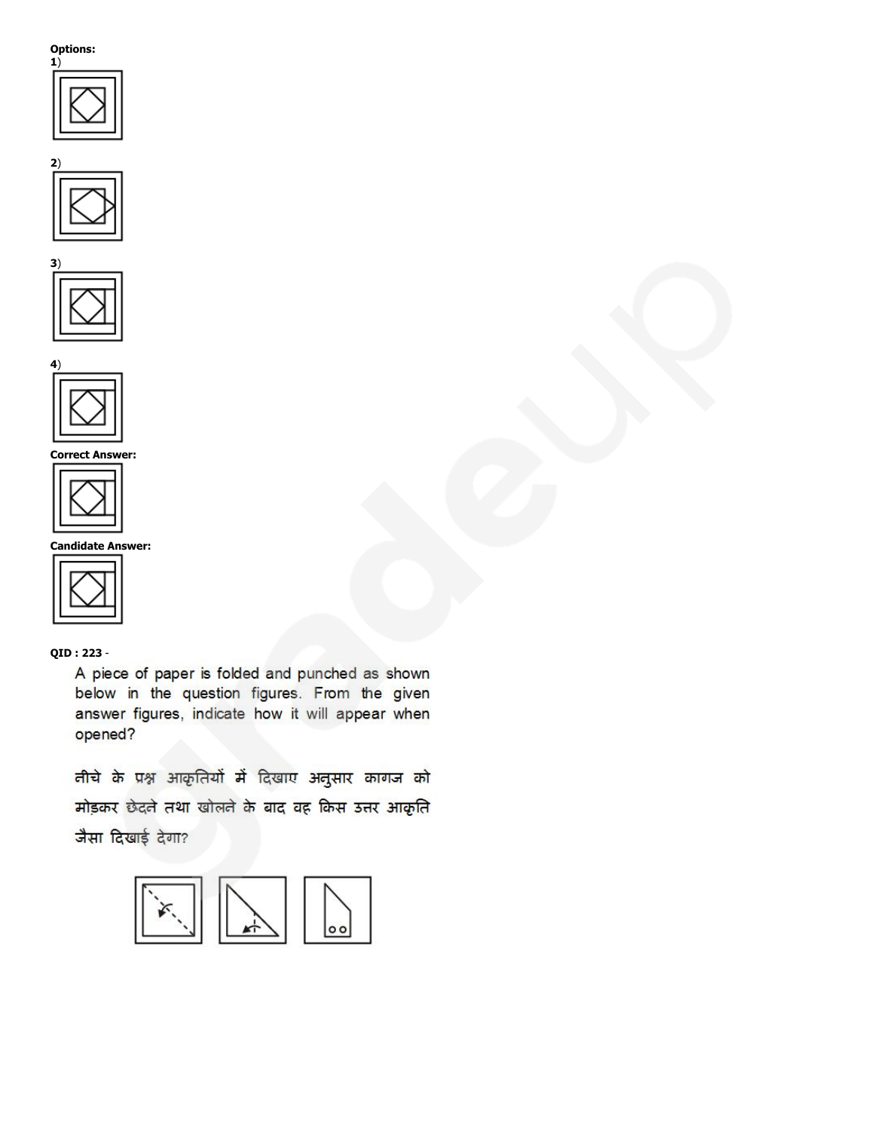







Correct Answer:



Candidate Answer:



## QID : 223 -

A piece of paper is folded and punched as shown below in the question figures. From the given answer figures, indicate how it will appear when opened?

तीचे के प्रश्न आकृतियों में दिखाए अनुसार कागज को मोड़कर छेदले तथा खोलले के बाद वह किस उत्तर आकृति जैसा दिखाई देगा?

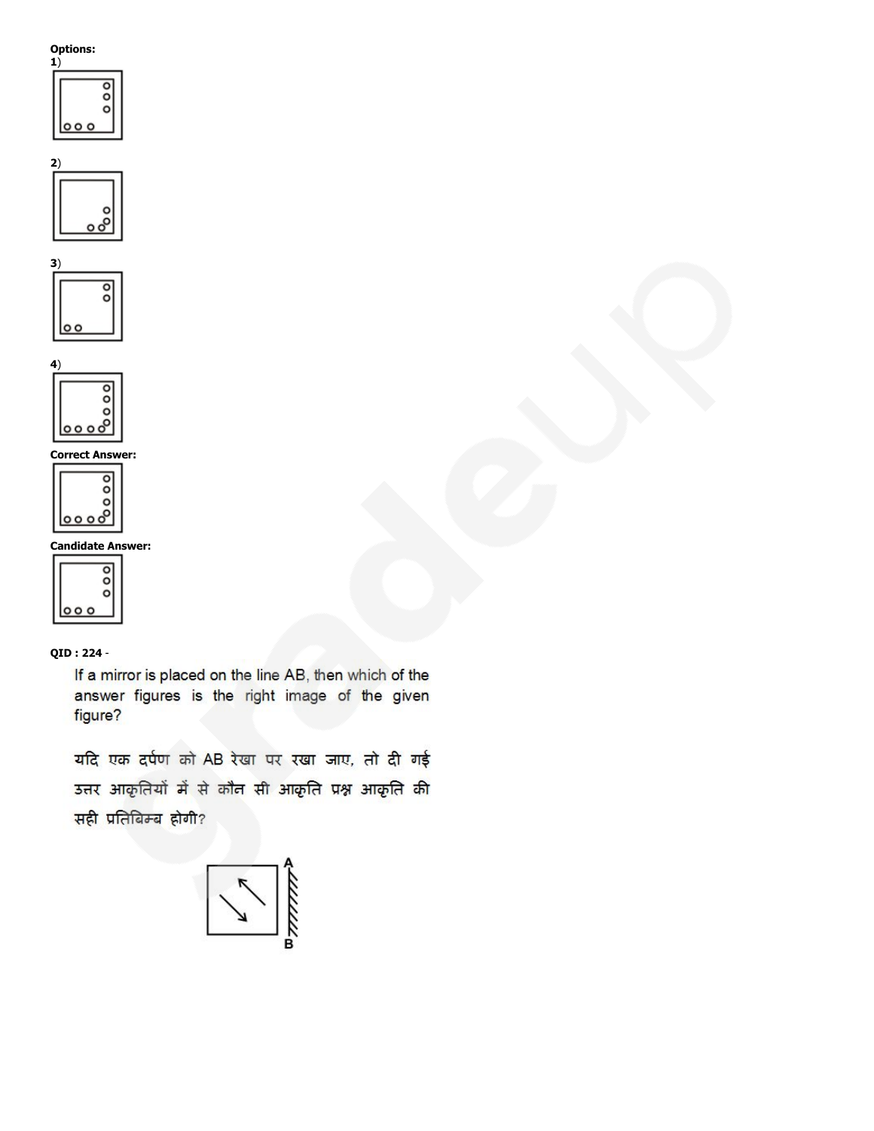#### Options: 1)

| -, |  |
|----|--|
|    |  |
|    |  |
|    |  |
|    |  |
|    |  |







Correct Answer:



Candidate Answer:



# QID : 224 -

If a mirror is placed on the line AB, then which of the answer figures is the right image of the given figure?

यदि एक दर्पण को AB रेखा पर रखा जाए, तो दी गई उत्तर आकृतियों में से कौन सी आकृति प्रश्न आकृति की सही प्रतिबिम्ब होगी?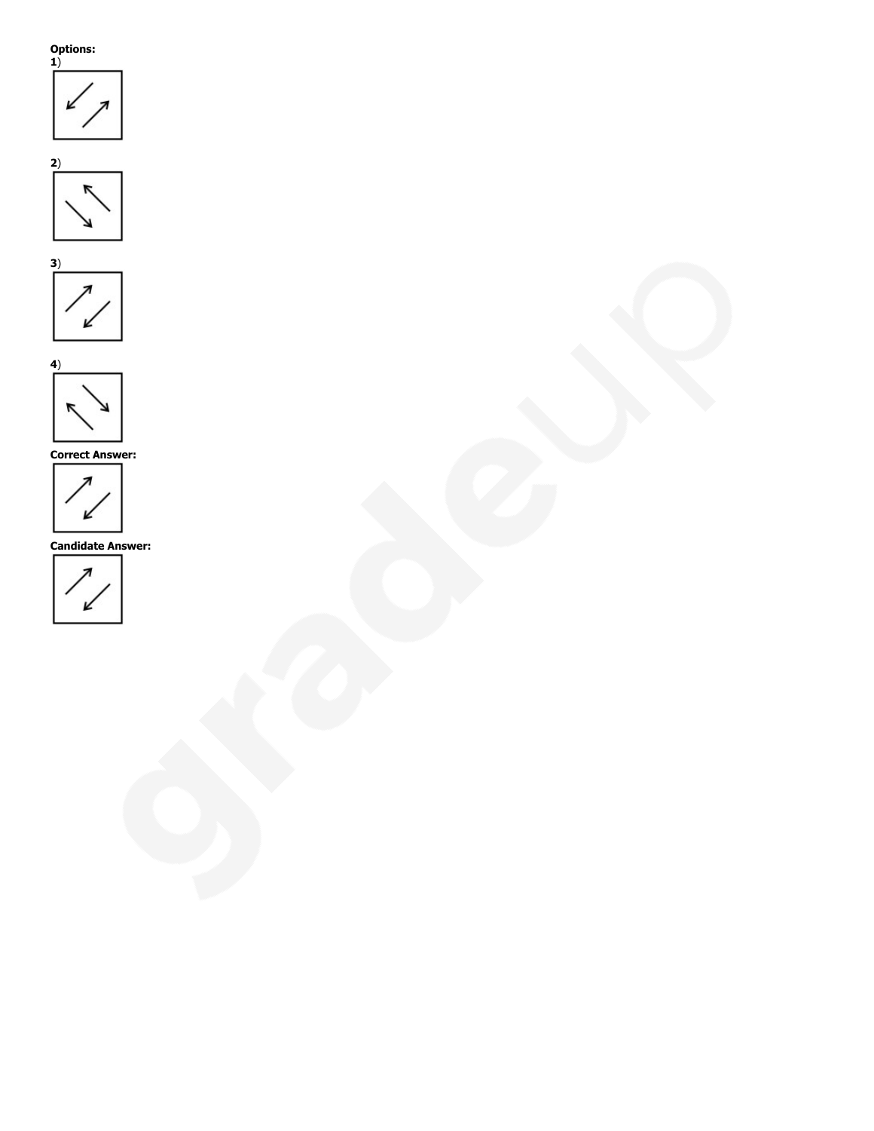







Correct Answer:



Candidate Answer:

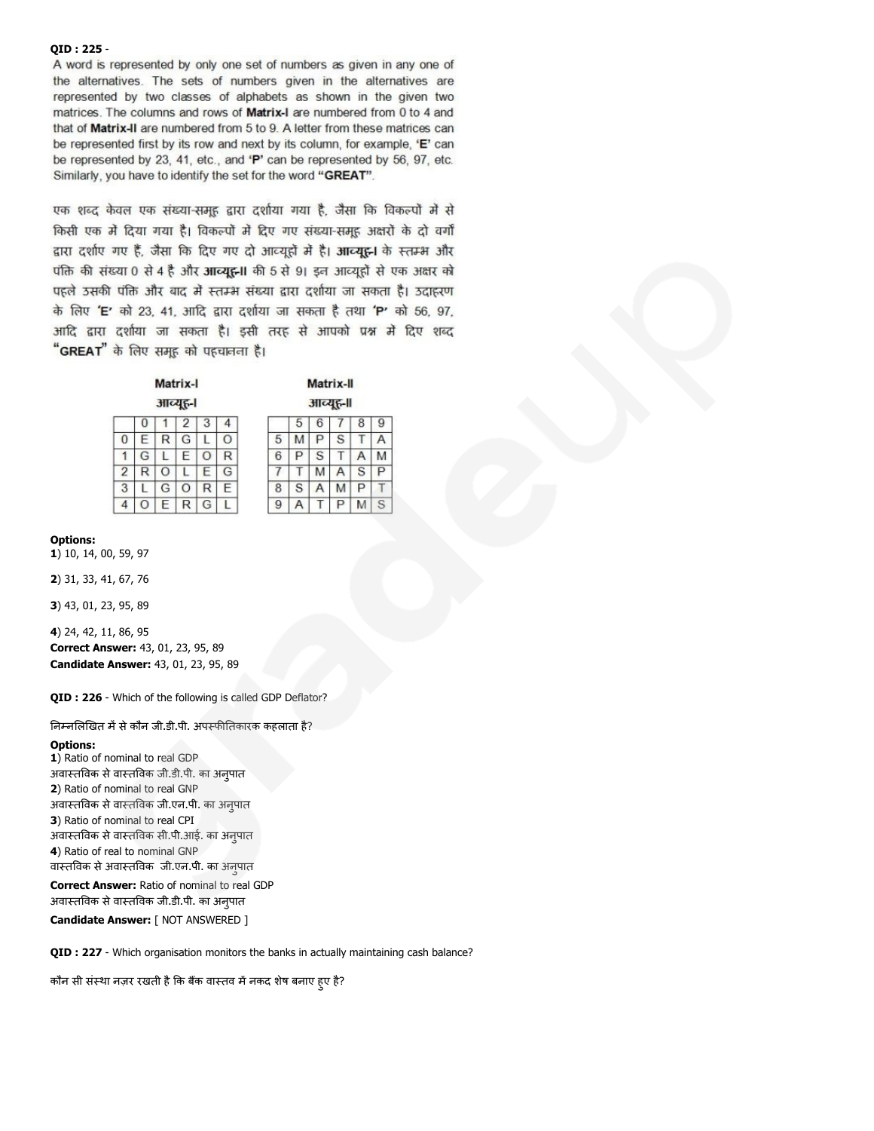#### QID : 225 -

A word is represented by only one set of numbers as given in any one of the alternatives. The sets of numbers given in the alternatives are represented by two classes of alphabets as shown in the given two matrices. The columns and rows of Matrix-I are numbered from 0 to 4 and that of Matrix-II are numbered from 5 to 9. A letter from these matrices can be represented first by its row and next by its column, for example, 'E' can be represented by 23, 41, etc., and 'P' can be represented by 56, 97, etc. Similarly, you have to identify the set for the word "GREAT".

एक शब्द केवल एक संख्या-समूह द्वारा दर्शाया गया है, जैसा कि विकल्पों में से किसी एक में दिया गया है। विकल्पों में दिए गए संख्या-समह अक्षरों के दो वर्गों द्वारा दर्शाए गए हैं, जैसा कि दिए गए दो आव्यूहों में है। आव्यूह़-1 के स्तम्भ और पंक्ति की संख्या 0 से 4 है और आव्युहन। की 5 से 9। इन आव्युहों से एक अक्षर को पहले उसकी पंक्ति और बाद में स्तम्भ संख्या द्वारा दर्शाया जा सकता है। उदाहरण के लिए 'E' को 23, 41, आदि द्वारा दर्शाया जा सकता है तथा 'P' को 56, 97, आदि द्वारा दर्शाया जा सकता है। इसी तरह से आपको प्रश्न में दिए शब्द "GREAT" के लिए समूह को पहचानना है।

|          |   | Matrix-I |   |   |   |
|----------|---|----------|---|---|---|
| आव्यूह-। |   |          |   |   |   |
|          |   |          | 2 |   |   |
| 0        | Ε | R        | G |   |   |
|          | G |          | E | ð | R |
| 2        |   | U        |   | F | G |
| 3        |   | G        | n | R | F |
| Δ        |   | Ξ        |   | G |   |

|   |   |   | .        |   |   |
|---|---|---|----------|---|---|
|   |   |   | आव्यूह-॥ |   |   |
|   | 5 | 6 |          | 8 | 9 |
| 5 | м | ₽ | S        |   |   |
| 6 | Р | S | ı,       |   |   |
|   |   | M |          | S | ₽ |
| 8 | S |   | M        | Ρ |   |
|   |   |   | ц        |   | 5 |

Motriv.II

Options:

1) 10, 14, 00, 59, 97

2) 31, 33, 41, 67, 76

3) 43, 01, 23, 95, 89

4) 24, 42, 11, 86, 95 Correct Answer: 43, 01, 23, 95, 89 Candidate Answer: 43, 01, 23, 95, 89

QID : 226 - Which of the following is called GDP Deflator?

निम्नलिखित में से कौन जी.डी.पी. अपस्फीतिकारक कहलाता है?

#### Options:

1) Ratio of nominal to real GDP अवास्तविक से वास्तविक जी.डी.पी. का अनपात 2) Ratio of nominal to real GNP अवास्तविक से वास्तविक जी.एन.पी. का अनपात 3) Ratio of nominal to real CPI अवास्तविक से वास्तविक सी.पी.आई. का अनपात 4) Ratio of real to nominal GNP वास्तविक से अवास्तविक जी.एन.पी. का अनपात

Correct Answer: Ratio of nominal to real GDP अवास्तविक से वास्तविक जी.डी.पी. का अनुपात

Candidate Answer: [ NOT ANSWERED ]

QID : 227 - Which organisation monitors the banks in actually maintaining cash balance?

कौन सी संस्था नज़र रखती है कि बैंक वास्तव में नकद शेष बनाए हुए है?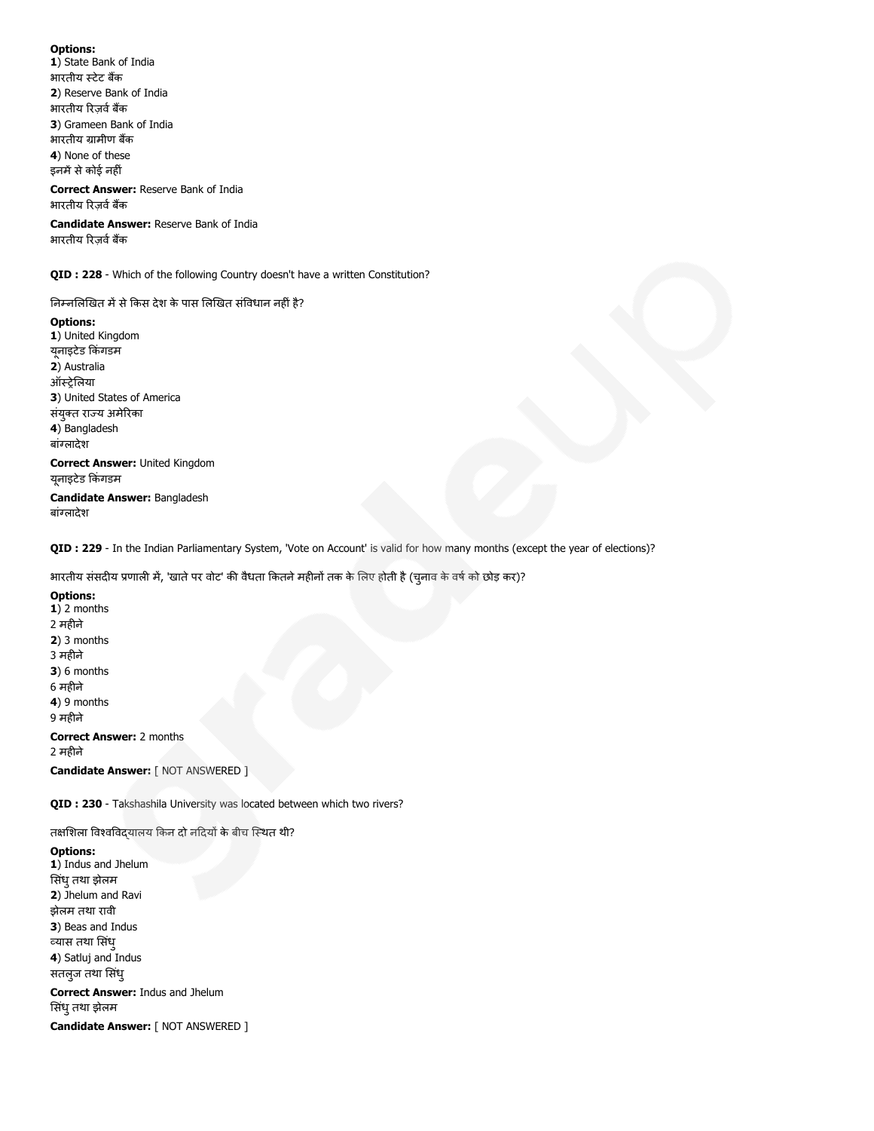1) State Bank of India भारतीय स्टेट बैंक 2) Reserve Bank of India भारतीय रिज़र्व बैंक 3) Grameen Bank of India भारतीय ग्रामीण बैंक 4) None of these इनमें से कोई नहीं

Correct Answer: Reserve Bank of India भारतीय रिजर्व बैंक

Candidate Answer: Reserve Bank of India भारतीय रिजर्व बैंक

QID : 228 - Which of the following Country doesn't have a written Constitution?

निम्नलिखित में से किस देश के पास लिखित संविधान नहीं है?

Options: 1) United Kingdom युनाइटेड किंगडम 2) Australia ऑस्ट्रेलिया 3) United States of America संयुक्त राज्य अमेरिका 4) Bangladesh बांलादेश Correct Answer: United Kingdom यूनाइटेड किंगडम Candidate Answer: Bangladesh

QID : 229 - In the Indian Parliamentary System, 'Vote on Account' is valid for how many months (except the year of elections)?

भारतीय संसदीय प्रणाली में, 'खाते पर वोट' की वैधता कितने महीनों तक के लिए होती है (च्नाव के वर्ष को छोड़ कर)?

## Options:

बांलादेश

 $1)$  2 months 2 महीने 2) 3 months 3 महने 3) 6 months 6 महने 4) 9 months 9 महने Correct Answer: 2 months 2 महने

Candidate Answer: [ NOT ANSWERED ]

QID : 230 - Takshashila University was located between which two rivers?

तक्षशिला विश्वविदयालय किन दो नदियों के बीच स्थित थी?

Options:

1) Indus and Jhelum सिंधु तथा झेलम 2) Jhelum and Ravi झेलम तथा रावी 3) Beas and Indus यास तथा सधं ु 4) Satluj and Indus सतलुज तथा सिंध्

Correct Answer: Indus and Jhelum सिंध् तथा झेलम

Candidate Answer: [ NOT ANSWERED ]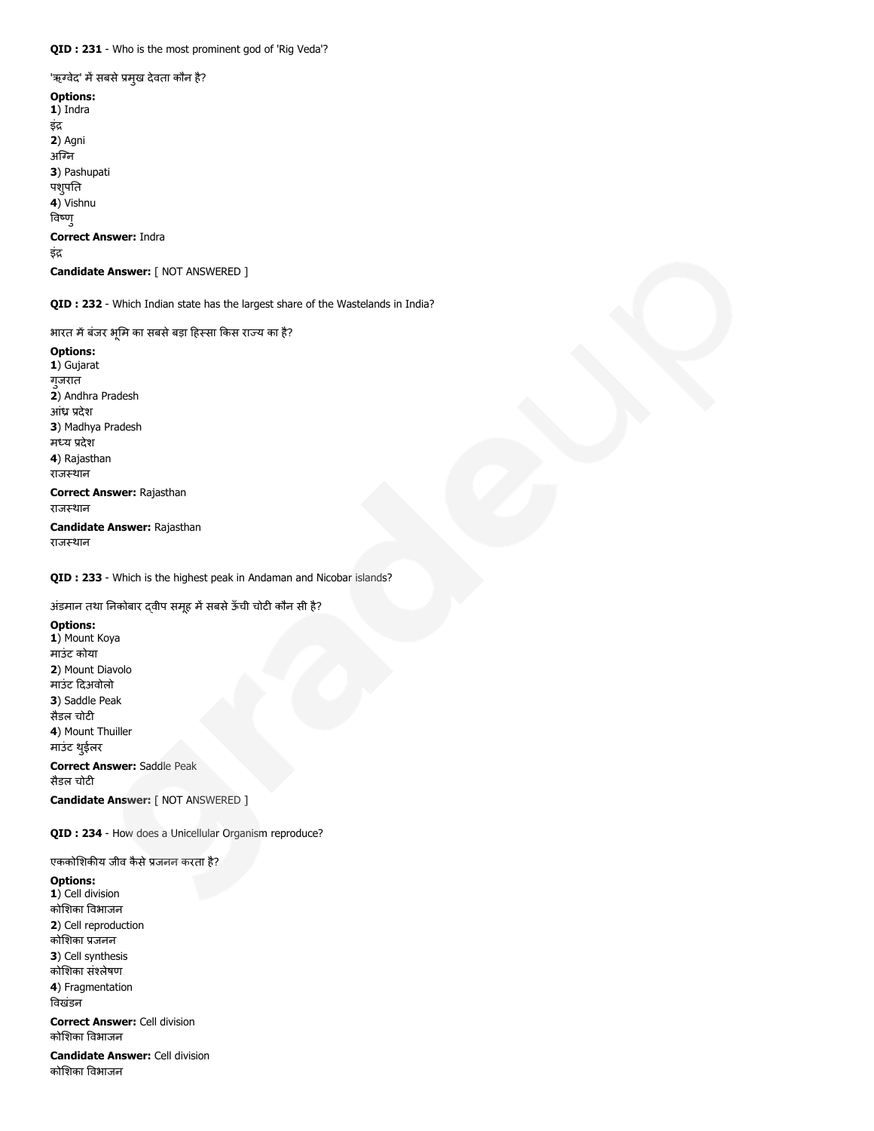'ऋग्वेद' में सबसे प्रमुख देवता कौन है?

Options: 1) Indra इं 2) Agni अग्नि 3) Pashupati पशुपति 4) Vishnu वणु Correct Answer: Indra इंद्र Candidate Answer: [ NOT ANSWERED ]

QID : 232 - Which Indian state has the largest share of the Wastelands in India?

भारत में बंजर भूमि का सबसे बड़ा हिस्सा किस राज्य का है?

Options: 1) Gujarat गुजरात 2) Andhra Pradesh आंध्र प्रदेश 3) Madhya Pradesh मध्य प्रदेश 4) Rajasthan राजस्थान

Correct Answer: Rajasthan राजस्थान

Candidate Answer: Rajasthan राजस्थान

QID : 233 - Which is the highest peak in Andaman and Nicobar islands?

अंडमान तथा निकोबार दवीप समूह में सबसे ऊँची चोटी कौन सी है?

Options: 1) Mount Koya माउंट कोया 2) Mount Diavolo माउंट दअवोलो 3) Saddle Peak सैडल चोटी 4) Mount Thuiller माउंट थईुलर Correct Answer: Saddle Peak सैडल चोटी Candidate Answer: [ NOT ANSWERED ]

QID : 234 - How does a Unicellular Organism reproduce?

एककोशिकीय जीव कैसे प्रजनन करता है?

Options: 1) Cell division कोशका वभाजन 2) Cell reproduction कोशका जनन 3) Cell synthesis कोशका संलेषण 4) Fragmentation वखंडन Correct Answer: Cell division कोशका वभाजन

Candidate Answer: Cell division कोशका वभाजन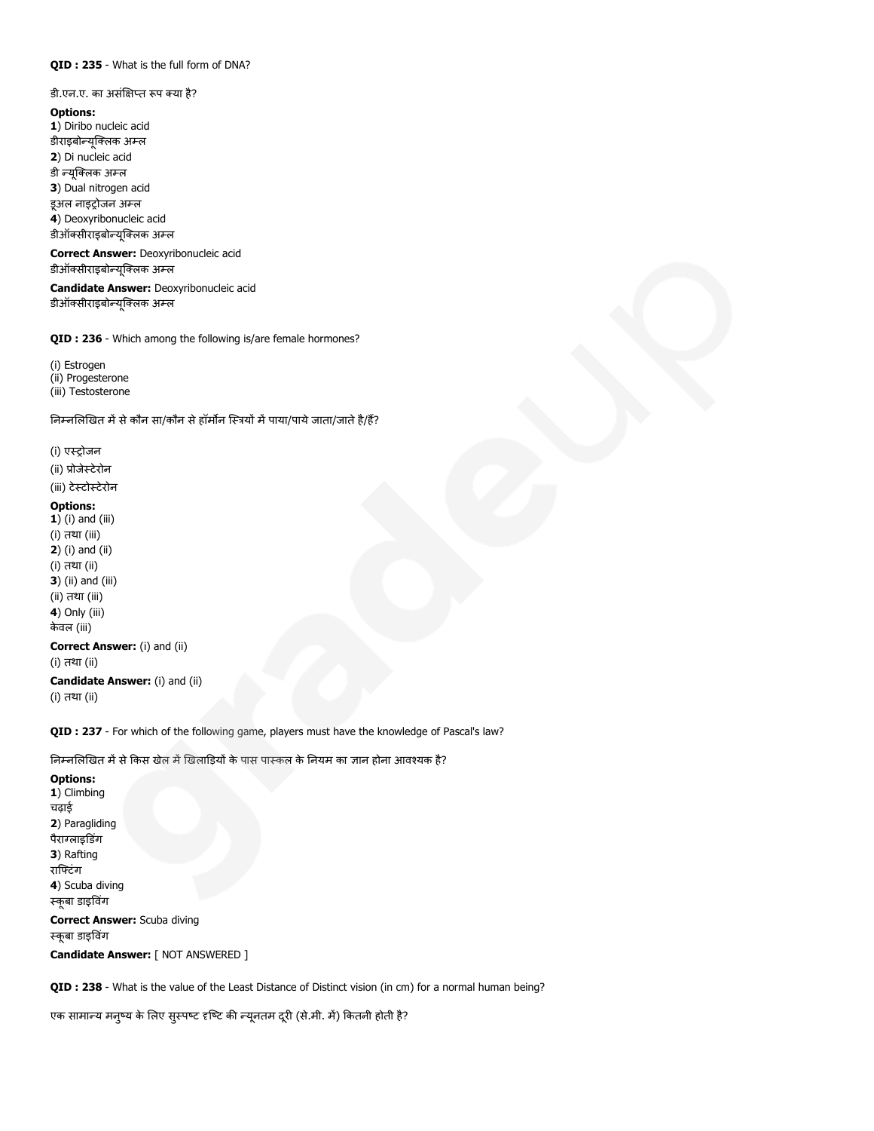## QID : 235 - What is the full form of DNA?

#### डी.एन.ए. का असंक्षिप्त रूप क्या है?

Options: 1) Diribo nucleic acid डीराइबोन्यूक्लिक अम्ल 2) Di nucleic acid डी न्यूक्लिक अम्ल 3) Dual nitrogen acid इअल नाइट्रोजन अम्ल 4) Deoxyribonucleic acid डीऑक्सीराइबोन्यूक्लिक अम्ल Correct Answer: Deoxyribonucleic acid

डीऑक्सीराइबोन्यूक्लिक अम्ल

Candidate Answer: Deoxyribonucleic acid डीऑक्सीराइबोन्यूक्लिक अम्ल

QID : 236 - Which among the following is/are female hormones?

(i) Estrogen (ii) Progesterone (iii) Testosterone

निम्नलिखित में से कौन सा/कौन से हॉर्मोन स्त्रियों में पाया/पाये जाता/जाते है/हैं?

## (i) एस्ट्रोजन

(ii) प्रोजेस्टेरोन

(iii) टेटोटेरोन

#### Options:

1) (i) and (iii) (i) तथा (iii) 2) (i) and (ii) (i) तथा (ii) **3**) (ii) and (iii) (ii) तथा (iii) 4) Only (iii) केवल (iii) Correct Answer: (i) and (ii) (i) तथा (ii)

Candidate Answer: (i) and (ii) (i) तथा (ii)

QID : 237 - For which of the following game, players must have the knowledge of Pascal's law?

निम्नलिखित में से किस खेल में खिलाड़ियों के पास पास्कल के नियम का ज्ञान होना आवश्यक है?

#### Options:

1) Climbing चढ़ाई 2) Paragliding पैराग्लाइडिंग 3) Rafting रािटंग 4) Scuba diving कूबा डाइवगं

Correct Answer: Scuba diving कूबा डाइवगं Candidate Answer: [ NOT ANSWERED ]

QID : 238 - What is the value of the Least Distance of Distinct vision (in cm) for a normal human being?

एक सामान्य मनुष्य के लिए सुस्पष्ट दृष्टि की न्यूनतम दूरी (से.मी. में) कितनी होती है?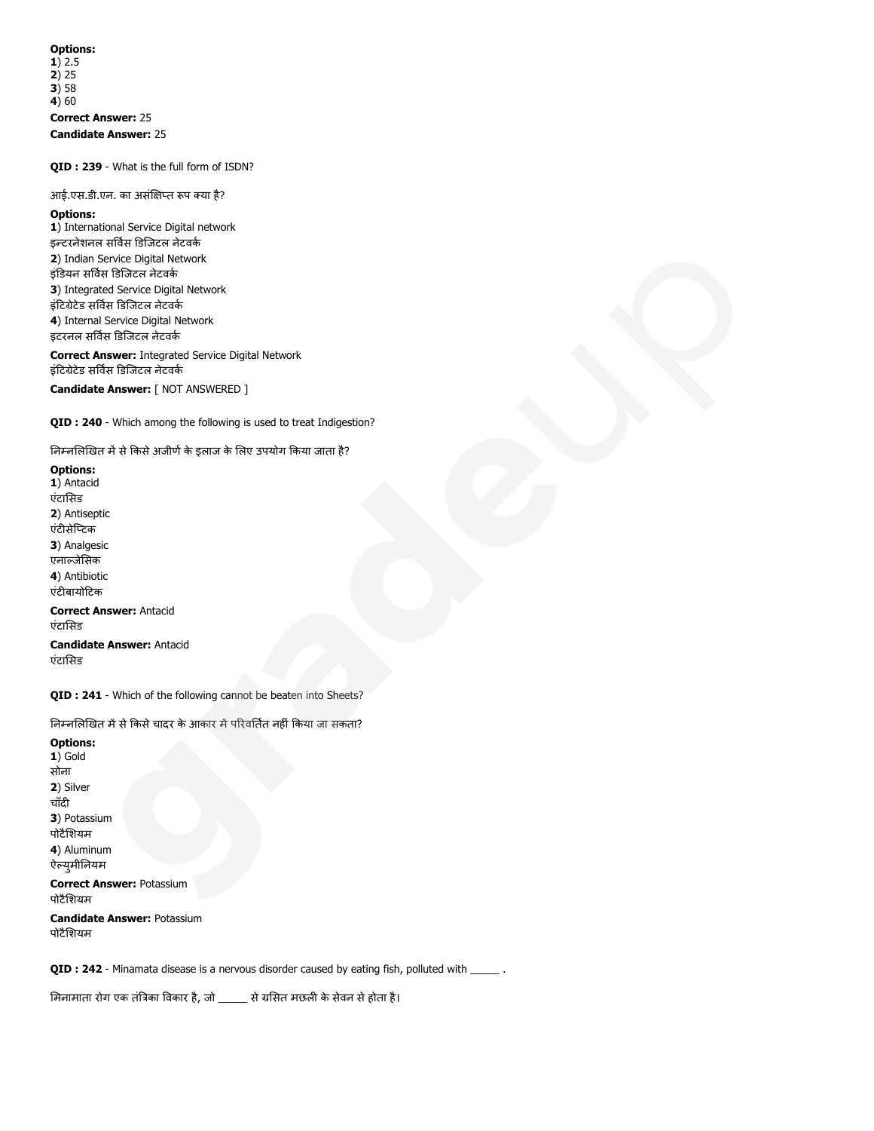Options: 1) 2.5 2) 25  $3) 58$  $(4)$  60 Correct Answer: 25 Candidate Answer: 25

QID : 239 - What is the full form of ISDN?

आई.एस.डी.एन. का असंक्षिप्त रूप क्या है?

Options:

1) International Service Digital network इन्टरनेशनल सर्विस डिजिटल नेटवर्क 2) Indian Service Digital Network इंडियन सर्विस डिजिटल नेटवर्क 3) Integrated Service Digital Network इंटिग्रेटेड सर्विस डिजिटल नेटवर्क 4) Internal Service Digital Network इटरनल सर्विस डिजिटल नेटवर्क

Correct Answer: Integrated Service Digital Network इंटिग्रेटेड सर्विस डिजिटल नेटवर्क Candidate Answer: [ NOT ANSWERED ]

QID : 240 - Which among the following is used to treat Indigestion?

निम्नलिखित में से किसे अजीर्ण के इलाज के लिए उपयोग किया जाता है?

Options: 1) Antacid एंटासड 2) Antiseptic एंटीसेप्टिक 3) Analgesic एनाजेसक 4) Antibiotic एंटीबायोटिक Correct Answer: Antacid एंटासड

Candidate Answer: Antacid एंटासड

QID : 241 - Which of the following cannot be beaten into Sheets?

निम्नलिखित में से किसे चादर के आकार में परिवर्तित नहीं किया जा सकता?

Options: 1) Gold सोना 2) Silver चाँदी 3) Potassium पोटैशयम 4) Aluminum ऐल्युमीनियम Correct Answer: Potassium पोटैशयम Candidate Answer: Potassium पोटैशयम

QID : 242 - Minamata disease is a nervous disorder caused by eating fish, polluted with \_\_\_\_\_\_.

मिनामाता रोग एक तंत्रिका विकार है, जो \_\_\_\_\_ से ग्रसित मछली के सेवन से होता है।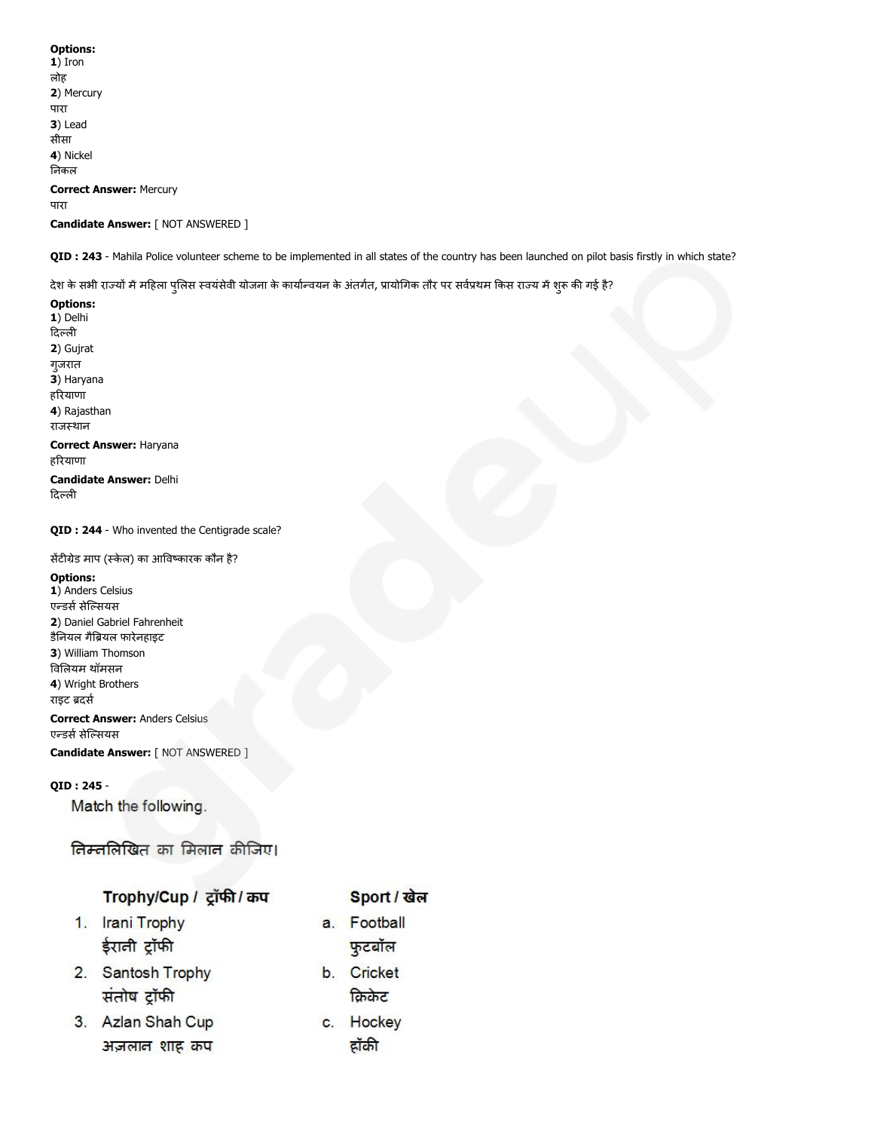# Options: 1) Iron लोह 2) Mercury पारा 3) Lead सीसा 4) Nickel नकल Correct Answer: Mercury पारा Candidate Answer: [ NOT ANSWERED ]

QID : 243 - Mahila Police volunteer scheme to be implemented in all states of the country has been launched on pilot basis firstly in which state?

देश के सभी राज्यों में महिला पुलिस स्वयंसेवी योजना के कार्यान्वयन के अंतर्गत, प्रायोगिक तौर पर सर्वप्रथम किस राज्य में शुरू की गई है?

Options: 1) Delhi दिल्ली 2) Gujrat गुजरात 3) Haryana हरयाणा 4) Rajasthan राजस्थान Correct Answer: Haryana हरयाणा Candidate Answer: Delhi दिल्ली

## QID : 244 - Who invented the Centigrade scale?

## सेंटीग्रेड माप (स्केल) का आविष्कारक कौन है?

## Options:

1) Anders Celsius एन्डर्स सेल्सियस 2) Daniel Gabriel Fahrenheit डैनयल गैयल फारेनहाइट 3) William Thomson वलयम थॉमसन 4) Wright Brothers राइट ब्रदर्स

Correct Answer: Anders Celsius एन्डर्स सेल्सियस

Candidate Answer: [ NOT ANSWERED ]

## QID : 245 -

Match the following.

तिम्तलिखित का मिलान कीजिए।

# Trophy/Cup / ट्रॉफी / कप

- 1. Irani Trophy ईराली ट्रॉफी
- 2. Santosh Trophy संतोष ट्रॉफी
- 3. Azlan Shah Cup अज़लान शाह कप

# Sport / खेल

- a. Football फुटबॉल
- b. Cricket क्रिकेट
- c. Hockey ट्रॉकी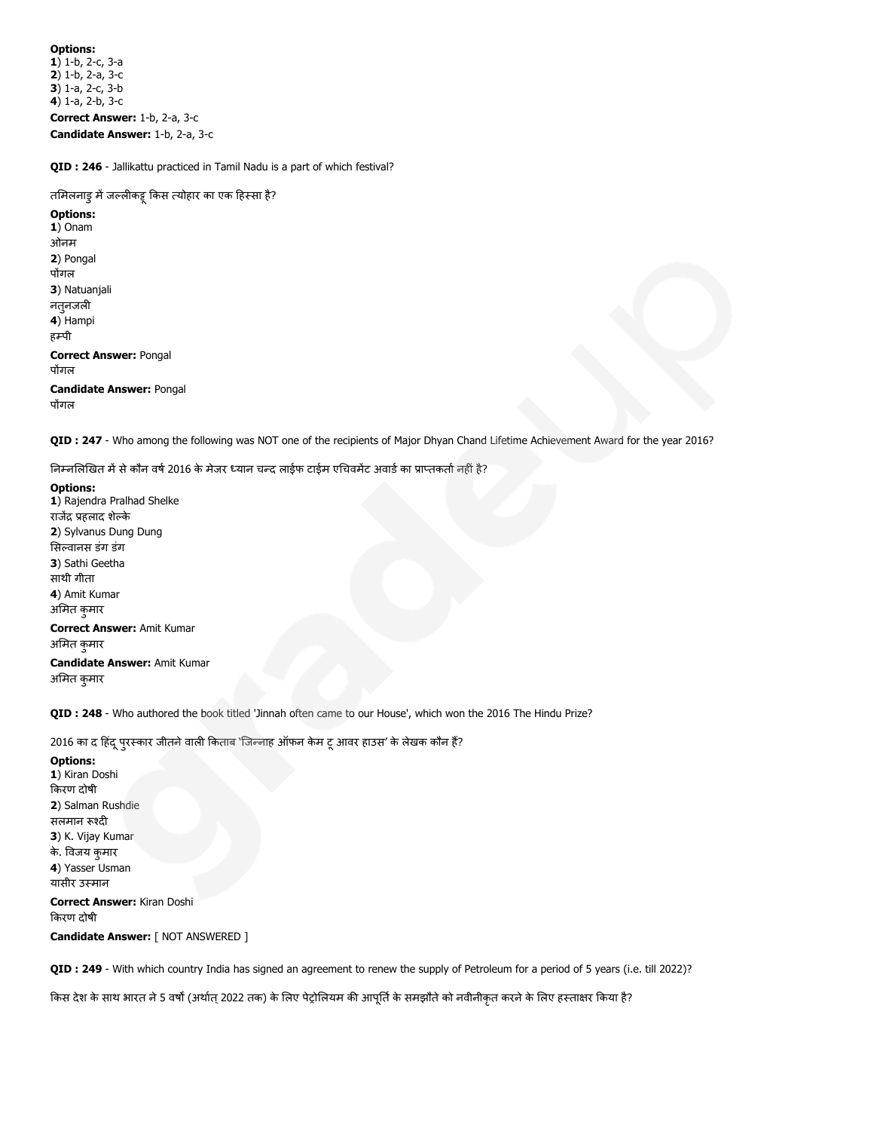Options: 1) 1-b, 2-c, 3-a 2) 1-b, 2-a, 3-c 3) 1-a, 2-c, 3-b 4) 1-a, 2-b, 3-c Correct Answer: 1-b, 2-a, 3-c Candidate Answer: 1-b, 2-a, 3-c

QID : 246 - Jallikattu practiced in Tamil Nadu is a part of which festival?

तमिलनाडु में जल्लीकडू किस त्योहार का एक हिस्सा है?

Options: 1) Onam ओनम 2) Pongal पोंगल 3) Natuanjali नत् जली 4) Hampi हरूपी Correct Answer: Pongal पोंगल Candidate Answer: Pongal पोंगल

QID : 247 - Who among the following was NOT one of the recipients of Major Dhyan Chand Lifetime Achievement Award for the year 2016?

निम्नलिखित में से कौन वर्ष 2016 के मेजर ध्यान चन्द लाईफ टाईम एचिवमेंट अवार्ड का प्राप्तकर्ता नहीं है?

## Options: 1) Rajendra Pralhad Shelke राजेंद्र प्रहलाद शेल्के 2) Sylvanus Dung Dung सिल्वानस डंग डंग 3) Sathi Geetha साथी गीता 4) Amit Kumar अमत कुमार Correct Answer: Amit Kumar अमत कुमार Candidate Answer: Amit Kumar

अमत कुमार

QID : 248 - Who authored the book titled 'Jinnah often came to our House', which won the 2016 The Hindu Prize?

2016 का द हिंदू प्**रस्कार जीतने वाली किताब 'जि**न्नाह ऑफन केम टू आवर हाउस' के लेखक कौन हैं?

Options: 1) Kiran Doshi करण दोषी 2) Salman Rushdie सलमान रूश्दी 3) K. Vijay Kumar के. विजय कमार 4) Yasser Usman यासीर उमान

Correct Answer: Kiran Doshi करण दोषी

Candidate Answer: [ NOT ANSWERED ]

QID : 249 - With which country India has signed an agreement to renew the supply of Petroleum for a period of 5 years (i.e. till 2022)?

किस देश के साथ भारत ने 5 वर्षों (अर्थात् 2022 तक) के लिए पेट्रोलियम की आपूर्ति के समझौते को नवीनीकृत करने के लिए हस्ताक्षर किया है?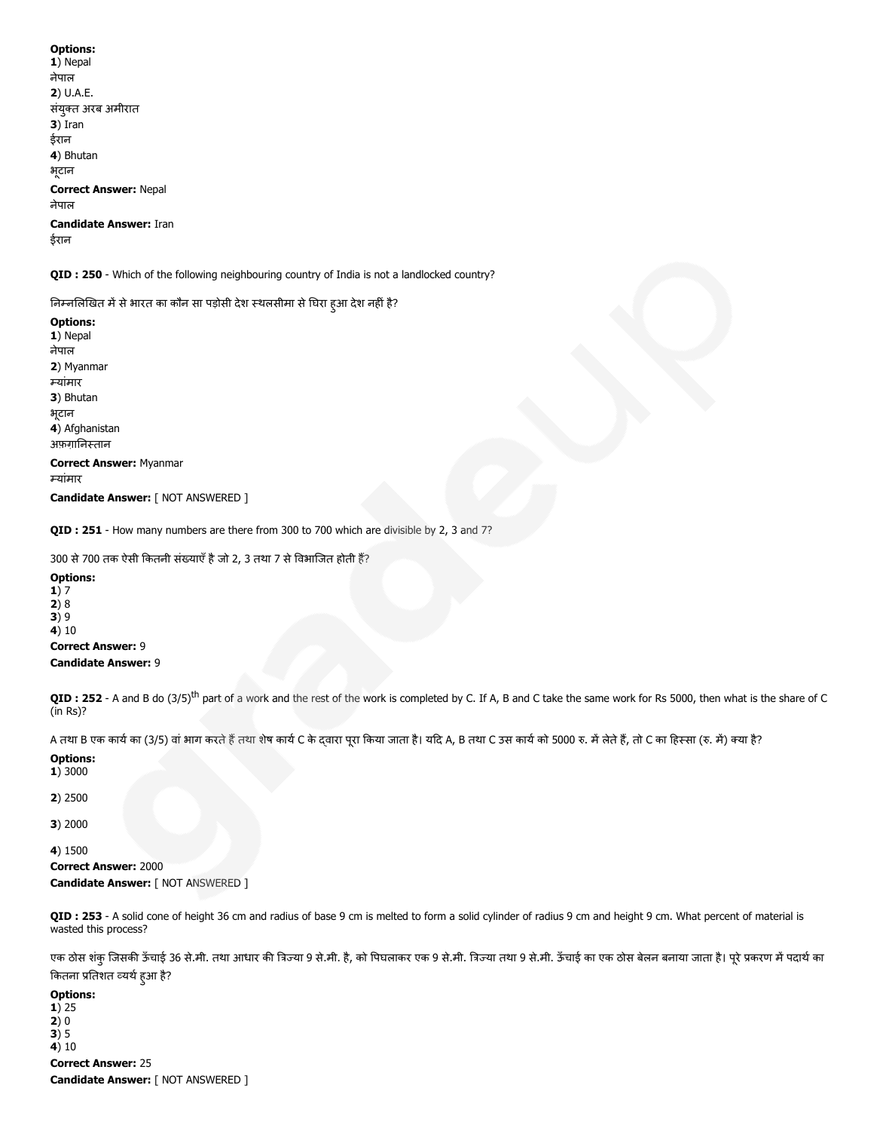| 1) Nepal                               |
|----------------------------------------|
| नेपाल                                  |
| 2) U.A.E.                              |
| संयुक्त अरब अमीरात                     |
| $3)$ Iran                              |
| ईरान                                   |
| 4) Bhutan                              |
| भूटान                                  |
| <b>Correct Answer: Nepal</b><br>नेपाल  |
| <b>Candidate Answer: Iran</b><br>डेरान |

QID : 250 - Which of the following neighbouring country of India is not a landlocked country?

निम्नलिखित में से भारत का कौन सा पड़ोसी देश स्थलसीमा से घिरा हुआ देश नहीं है?

Options: 1) Nepal नेपाल 2) Myanmar यांमार 3) Bhutan भूटान 4) Afghanistan अफ़ग़ानिस्तान Correct Answer: Myanmar यांमार

Candidate Answer: [ NOT ANSWERED ]

QID : 251 - How many numbers are there from 300 to 700 which are divisible by 2, 3 and 7?

300 से 700 तक ऐसी कितनी संख्याएँ है जो 2, 3 तथा 7 से विभाजित होती हैं?

Options: 1) 7  $2)8$ 3) 9  $4)10$ Correct Answer: 9

Candidate Answer: 9

QID : 252 - A and B do (3/5)<sup>th</sup> part of a work and the rest of the work is completed by C. If A, B and C take the same work for Rs 5000, then what is the share of C (in Rs)?

A तथा B एक कार्य का (3/5) वां भाग करते हैं तथा शेष कार्य C के दवारा पूरा किया जाता है। यदि A, B तथा C उस कार्य को लेटो के, तो C का हिस्सा (रु. में) क्या है?

Options:

1) 3000

2) 2500

3) 2000

4) 1500

Correct Answer: 2000 Candidate Answer: [ NOT ANSWERED ]

QID : 253 - A solid cone of height 36 cm and radius of base 9 cm is melted to form a solid cylinder of radius 9 cm and height 9 cm. What percent of material is wasted this process?

एक ठोस शंकु जिसकी ऊँचाई 36 से.मी. तथा आधार की त्रिज्या 9 से.मी. शिज्या तथा 9 से.मी. अँचाई का एक ठोस बेलन बनाया जाता है। पूरे प्रकरण में पदार्थ का कितना प्रतिशत व्यर्थ हुआ है?

Options:  $1) 25$ 2) 0  $3)5$ 4) 10 Correct Answer: 25 Candidate Answer: [ NOT ANSWERED ]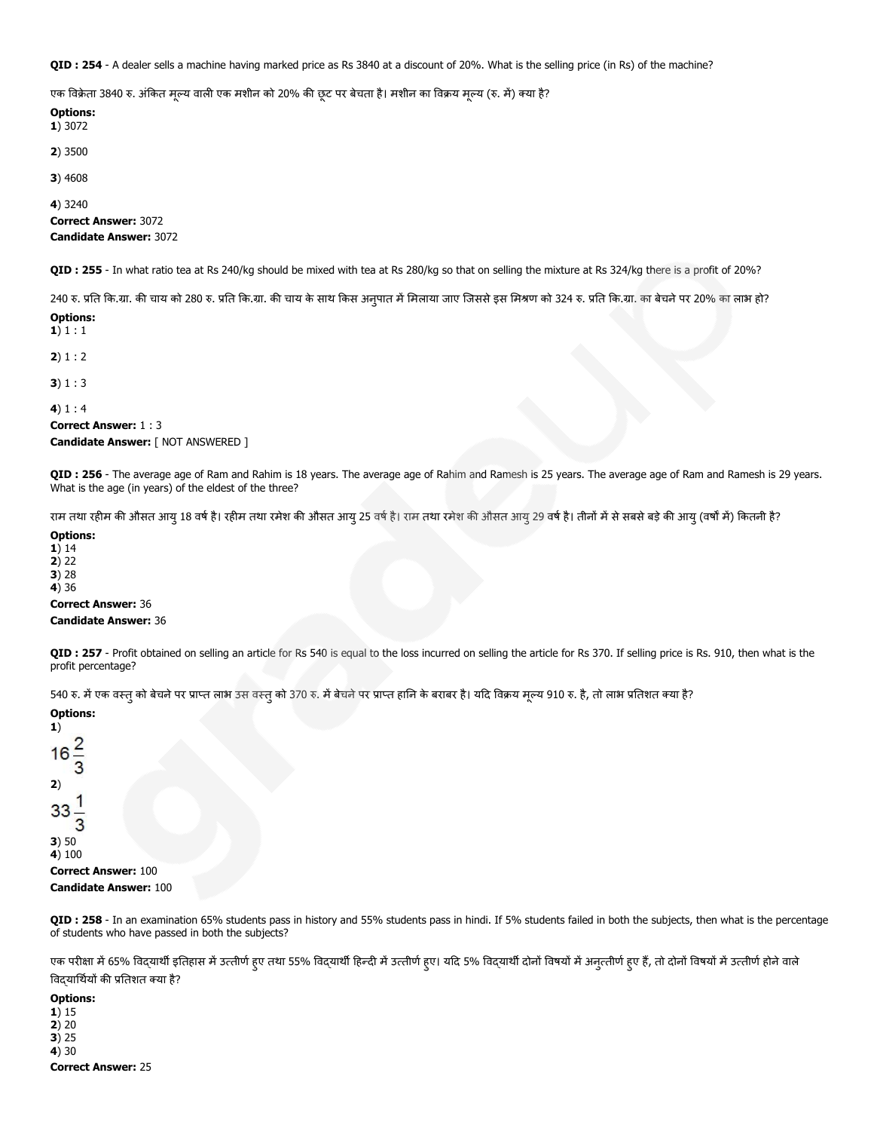QID : 254 - A dealer sells a machine having marked price as Rs 3840 at a discount of 20%. What is the selling price (in Rs) of the machine?

एक विक्रेता 3840 रु. अंकित मृल्य वाली एक मशीन को 20% की छूट पर बेचता है। मशीन का विक्रय मृल्य (रु. में) क्या है?

Options: 1) 3072 2) 3500 3) 4608 4) 3240 Correct Answer: 3072 Candidate Answer: 3072

QID : 255 - In what ratio tea at Rs 240/kg should be mixed with tea at Rs 280/kg so that on selling the mixture at Rs 324/kg there is a profit of 20%?

240 रु. प्रति कि.ग्रा. की चाय को 280 रु. प्रति कि.ग्रा. की चाय के साथ किस अनुपात में मिलाया जाए जिससे इस मिश्रण को 324 रु. प्रति कि.ग्रा. का बेचने पर 20% का लाभ हो? Options:

1) 1 : 1  $2) 1 : 2$ 3) 1 : 3 4)  $1:4$ Correct Answer: 1 : 3 Candidate Answer: [ NOT ANSWERED ]

QID : 256 - The average age of Ram and Rahim is 18 years. The average age of Rahim and Ramesh is 25 years. The average age of Ram and Ramesh is 29 years. What is the age (in years) of the eldest of the three?

राम तथा रहीम की औसत आयु 18 वर्ष है। रहीम तथा रमेश की औसत आयु 19 वर्ष को आंसत आयु 29 वर्ष है। तीनों में से सबसे बड़े की आयु (वर्षों में) कितनी है?

Options:

1) 14 2) 22  $3) 28$ 

4) 36

Correct Answer: 36

#### Candidate Answer: 36

QID : 257 - Profit obtained on selling an article for Rs 540 is equal to the loss incurred on selling the article for Rs 370. If selling price is Rs. 910, then what is the profit percentage?

540 रु. में एक वस्त् को बेचने पर प्राप्त लाभ उस वस्त् को 370 रु. में बेचने पर प्राप्त हानि के बराबर है। यदि विक्रय मूल्य 910 रु. है, तो लाभ प्रतिशत क्या है?

| <b>Options:</b><br>1)        |
|------------------------------|
| $16\frac{2}{3}$              |
| 2)                           |
| $\frac{33}{3}$               |
| 3)50                         |
| 4) 100                       |
| <b>Correct Answer: 100</b>   |
| <b>Candidate Answer: 100</b> |

QID : 258 - In an examination 65% students pass in history and 55% students pass in hindi. If 5% students failed in both the subjects, then what is the percentage of students who have passed in both the subjects?

एक परीक्षा में 65% विद्यार्थी इतिहास में उत्तीर्ण हुए तथा 55% विदयाथी हुए। यद 5% विद्यार्थी दोनों विषयों मुजुत्तीर्ण हुए हैं, तो दोनों विषयों में उत्तीर्ण होने वाले विदयार्थियों की प्रतिशत क्या है?

Options:

1) 15 2) 20 3) 25 4) 30 Correct Answer: 25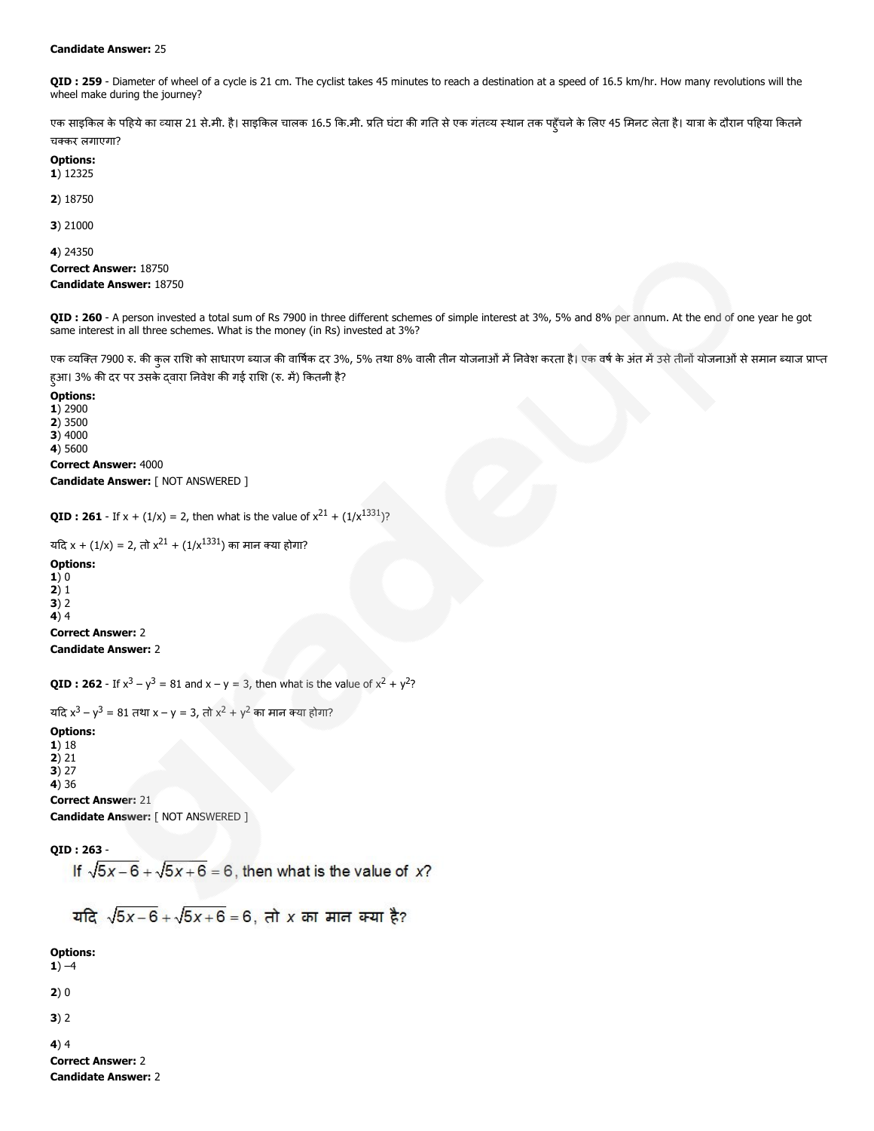#### Candidate Answer: 25

QID : 259 - Diameter of wheel of a cycle is 21 cm. The cyclist takes 45 minutes to reach a destination at a speed of 16.5 km/hr. How many revolutions will the wheel make during the journey?

एक साइकिल के पहिये का व्यास 21 से.मी. है। साइकिल चालक 16.5 कि.मी. प्रति घंटा की गति से एक गंतव्य स्थान तक पहुँचने के लिए 45 मिनट लेता है। यात्रा के दौरान पहिया कितने चकर लगाएगा?

# Options:

1) 12325

2) 18750

3) 21000

4) 24350

Correct Answer: 18750 Candidate Answer: 18750

QID : 260 - A person invested a total sum of Rs 7900 in three different schemes of simple interest at 3%, 5% and 8% per annum. At the end of one year he got same interest in all three schemes. What is the money (in Rs) invested at 3%?

एक व्यक्ति 7900 रु. की कुल राशि को साधारण ब्याज की वार्षिक दर 3%, 5% तथा 8% वाली तीन योजनाओं में गिलेक तरीन में उसे तीनों योजनाओं से समान ब्याज प्राप्त हुआ। 3% की दर पर उसके दवारा निवेश की गई राशि (रु. में) कितनी है?

Options: 1) 2900 2) 3500  $3)$  4000 4) 5600

Correct Answer: 4000 Candidate Answer: [ NOT ANSWERED ]

**QID : 261** - If  $x + (1/x) = 2$ , then what is the value of  $x^{21} + (1/x^{1331})$ ?

```
यदि x + (1/x) = 2, तो x^{21} + (1/x^{1331}) का मान क्या होगा?
```
Options:  $1)0$ 2) 1  $3) 2$ 4) 4 Correct Answer: 2 Candidate Answer: 2

**QID : 262** - If  $x^3 - y^3 = 81$  and  $x - y = 3$ , then what is the value of  $x^2 + y^2$ ?

यदि x<sup>3</sup> – y<sup>3</sup> = 81 तथा x – y = 3, तो x<sup>2</sup> + y<sup>2</sup> का मान क्या होगा?

## Options:

1) 18 2) 21

3) 27

4) 36

Correct Answer: 21 Candidate Answer: [ NOT ANSWERED ]

QID : 263 -

If  $\sqrt{5x-6} + \sqrt{5x+6} = 6$ , then what is the value of x?

यदि  $\sqrt{5x-6} + \sqrt{5x+6} = 6$ , तो x का मान क्या है?

Options:

 $1) -4$ 

 $2)0$ 

3) 2

4) 4 Correct Answer: 2

Candidate Answer: 2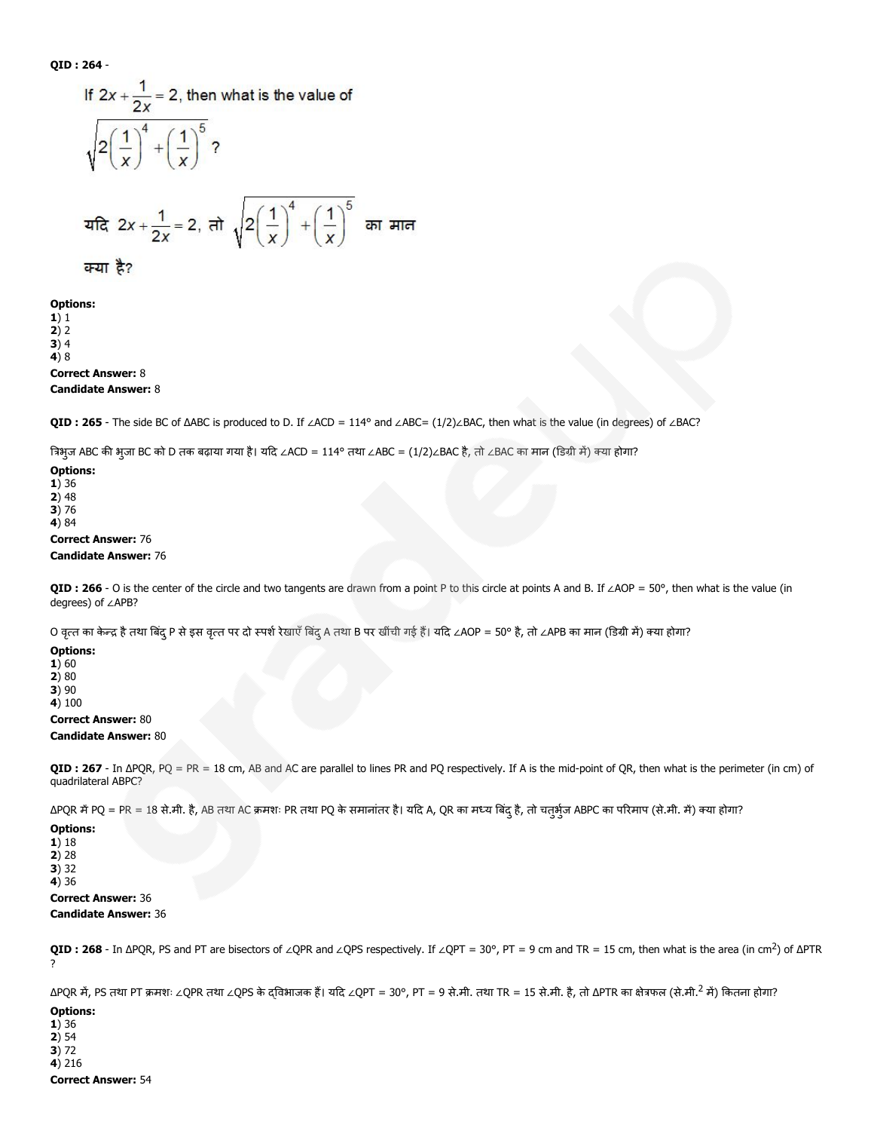QID : 264 -

If 
$$
2x + \frac{1}{2x} = 2
$$
, then what is the value of  
\n
$$
\sqrt{2\left(\frac{1}{x}\right)^4 + \left(\frac{1}{x}\right)^5}
$$
?  
\n
$$
\frac{1}{2x} = 2, \frac{1}{2x} = 2, \frac{1}{2x} = \frac{1}{2}
$$

Options:

1) 1 2) 2

 $3)4$ 4) 8

## Correct Answer: 8

## Candidate Answer: 8

QID : 265 - The side BC of ΔABC is produced to D. If ∠ACD = 114° and ∠ABC= (1/2)∠BAC, then what is the value (in degrees) of ∠BAC?

त्रिभुज ABC की भुजा BC को D तक बढ़ाया गया है। यदि ∠ACD = 114° तथा ∠ABC = (1/2)∠BAC है, तो ∠BAC का मान (डिग्री में) क्या होगा?

#### Options: 1) 36 2) 48 3) 76 4) 84

Correct Answer: 76

## Candidate Answer: 76

QID : 266 - O is the center of the circle and two tangents are drawn from a point P to this circle at points A and B. If ∠AOP = 50°, then what is the value (in degrees) of ∠APB?

O वृत्त का केन्द्र है तथा बिंद् P से इस वृत्त पर दो स्पर्श रेखाएँ बिंदु A तथा B पर खींची गई हैं। यदि ∠AOP = 50° है, तो ∠APB का मान (डिग्री में) क्या होगा?

Options:

 $1) 60$ 2) 80 3) 90

4) 100

## Correct Answer: 80

## Candidate Answer: 80

QID: 267 - In ΔPQR, PQ = PR = 18 cm, AB and AC are parallel to lines PR and PQ respectively. If A is the mid-point of QR, then what is the perimeter (in cm) of quadrilateral ABPC?

ΔPQR में PQ = PR = 18 से.मी. है, AB तथा AC क्रमशः PR तथा PQ के समानांतर है। यदि A, QR का मध्य बिंदु है, तो चतुर्भुज ABPC का परिमाप (से.मी. में) क्या होगा?

## Options:

1) 18 2) 28 3) 32 4) 36

#### Correct Answer: 36 Candidate Answer: 36

QID : 268 - In ΔPQR, PS and PT are bisectors of ∠QPR and ∠QPS respectively. If ∠QPT = 30°, PT = 9 cm and TR = 15 cm, then what is the area (in cm<sup>2</sup>) of ΔPTR ?

ΔPQR में, PS तथा PT क्रमशः ∠QPR तथा ∠QPS के दविभाजक हैं। यदि ∠QPT = 30°, PT = 9 से.मी. तथा TR = 15 से.मी. है, तो ΔPTR का क्षेत्रफल (से.मी.<sup>2</sup> में) कितना होगा?

## Options:

1) 36  $2) 54$ 

3) 72

4) 216 Correct Answer: 54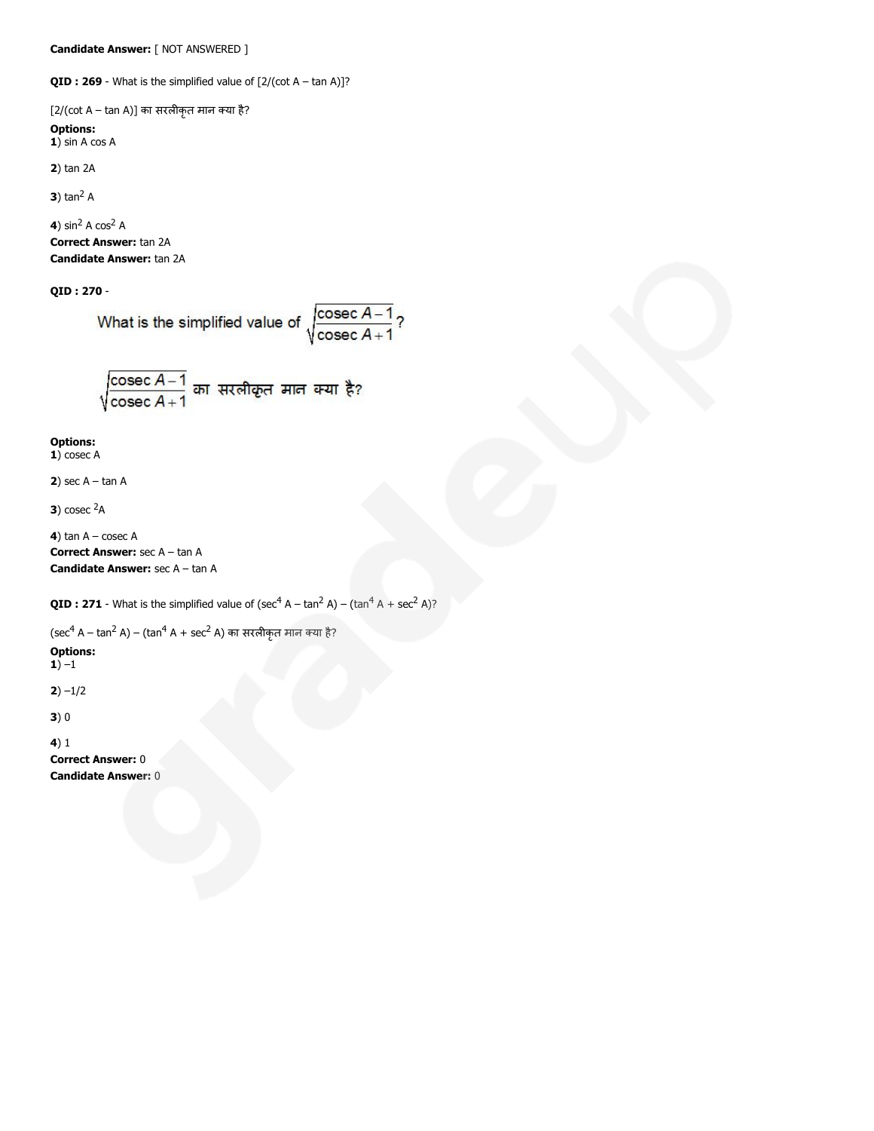**QID : 269** - What is the simplified value of  $[2/(\cot A - \tan A)]$ ?

 $[2/(\cot A - \tan A)]$  का सरलीकृत मान क्या है? Options:  $1)$  sin A cos A

2) tan 2A

**3**) tan<sup>2</sup> A

4)  $\sin^2 A \cos^2 A$ Correct Answer: tan 2A Candidate Answer: tan 2A

QID : 270 -

What is the simplified value of 
$$
\sqrt{\frac{\text{cosec } A - 1}{\text{cosec } A + 1}}
$$
?

$$
\sqrt{\frac{\text{cosec } A-1}{\text{cosec } A+1}}
$$
 का सरलीकृत मान क्या है?

## Options:

1) cosec A

2) sec  $A - \tan A$ 

3) cosec  $2A$ 

```
4) tan A - \csc ACorrect Answer: sec A – tan A
Candidate Answer: sec A – tan A
```
**QID : 271** - What is the simplified value of (sec<sup>4</sup> A – tan<sup>2</sup> A) – (tan<sup>4</sup> A + sec<sup>2</sup> A)?

(sec<sup>4</sup> A – tan<sup>2</sup> A) – (tan<sup>4</sup> A + sec<sup>2</sup> A) का सरलीकृत मान क्या है?

Options:

1) – $1$ 

 $2) -1/2$ 

3) 0

4) 1

Correct Answer: 0 Candidate Answer: 0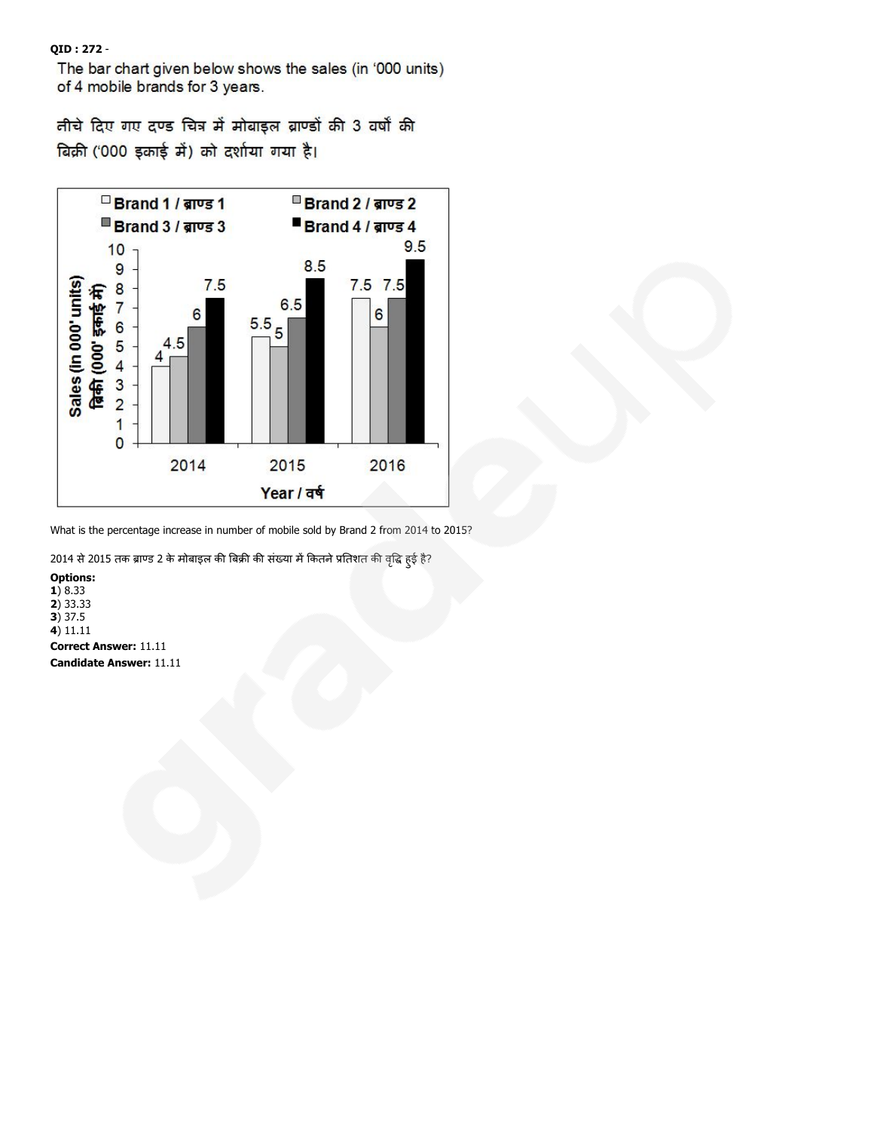QID : 272 -

The bar chart given below shows the sales (in '000 units) of 4 mobile brands for 3 years.

तीचे दिए गए दण्ड चित्र में मोबाइल ब्राण्डों की 3 वर्षों की बिक्री ('000 इकाई में) को दर्शाया गया है।



What is the percentage increase in number of mobile sold by Brand 2 from 2014 to 2015?

2014 से 2015 तक ब्राण्ड 2 के मोबाइल की बिक्री की संख्या में कितने प्रतिशत की वृद्धि हुई है?

Options: 1) 8.33 2) 33.33 3) 37.5 4) 11.11 Correct Answer: 11.11 Candidate Answer: 11.11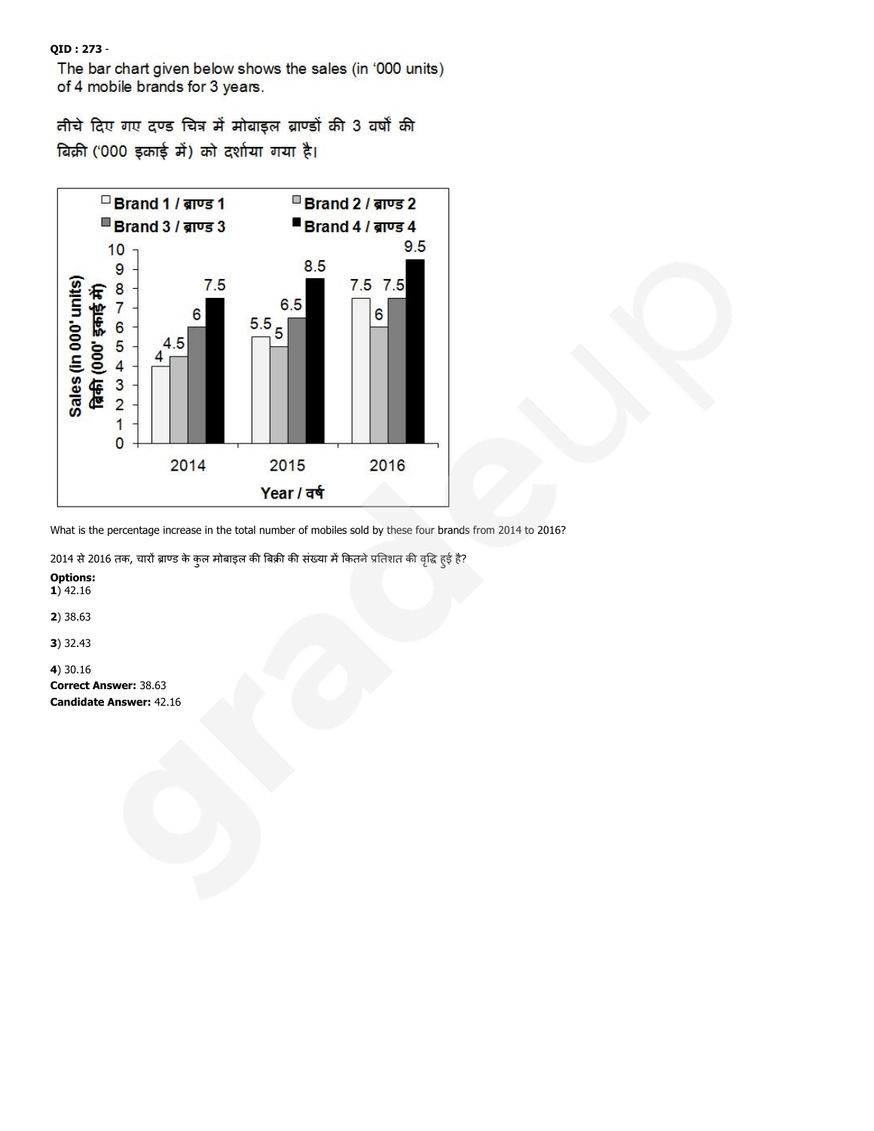QID : 273 -

The bar chart given below shows the sales (in '000 units) of 4 mobile brands for 3 years.

तीचे दिए गए दण्ड चित्र में मोबाइल ब्राण्डों की 3 वर्षों की बिक्री ('000 इकाई में) को दर्शाया गया है।



What is the percentage increase in the total number of mobiles sold by these four brands from 2014 to 2016?

2014 से 2016 तक, चारों ब्राण्ड के कुल मोबाइल की बिक्री की संख्या में कितने प्रतिशत की वृद्धि हुई है?

Options:  $1)$  42.16

2) 38.63

3) 32.43

4) 30.16

Correct Answer: 38.63 Candidate Answer: 42.16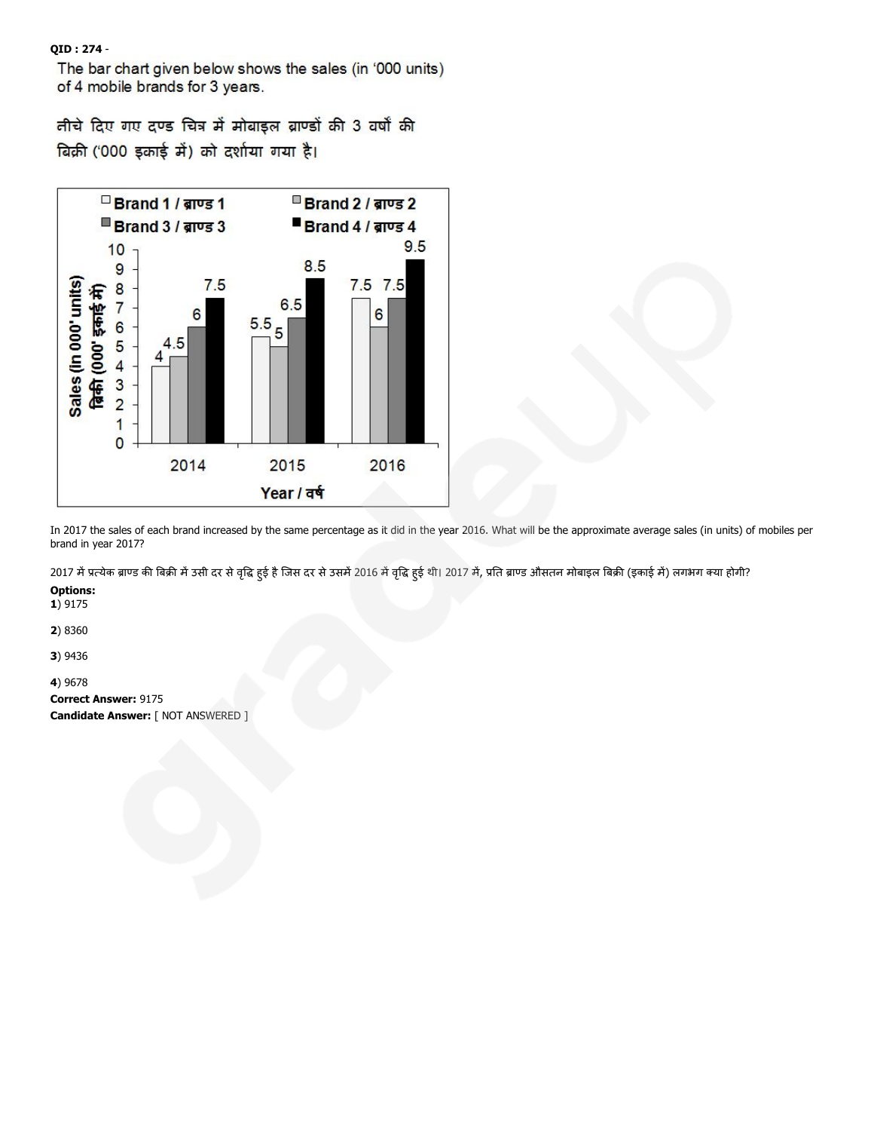QID : 274 -

The bar chart given below shows the sales (in '000 units) of 4 mobile brands for 3 years.

तीचे दिए गए दण्ड चित्र में मोबाइल ब्राण्डों की 3 वर्षों की बिक्री ('000 इकाई में) को दर्शाया गया है।



In 2017 the sales of each brand increased by the same percentage as it did in the year 2016. What will be the approximate average sales (in units) of mobiles per brand in year 2017?

2017 में प्रत्येक ब्राण्ड की बिक्री में उसी दर से वृद्धि हुई है जिस दर से उसमें 2016 में वृद्धि हुई थी। 2017 में, प्रति ब्राण्ड औसतन मोबाइल बिक्री (इकाई में) लगभग क्या होगी?

Options:

1) 9175

2) 8360

3) 9436

4) 9678

Correct Answer: 9175

Candidate Answer: [ NOT ANSWERED ]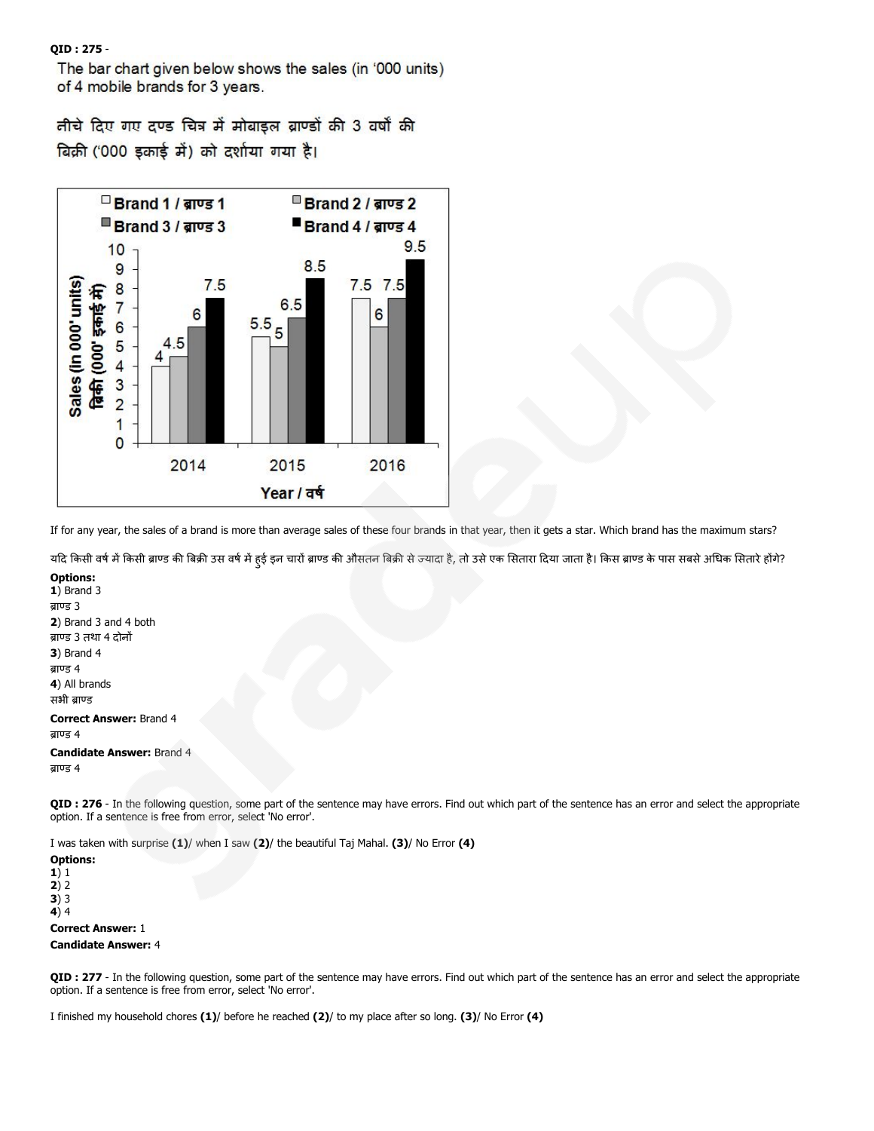QID : 275 -

The bar chart given below shows the sales (in '000 units) of 4 mobile brands for 3 years.

तीचे दिए गए दण्ड चित्र में मोबाइल ब्राण्डों की 3 वर्षों की बिक्री ('000 इकाई में) को दर्शाया गया है।



If for any year, the sales of a brand is more than average sales of these four brands in that year, then it gets a star. Which brand has the maximum stars?

यदि किसी वर्ष में किसी ब्राण्ड की बिक्री उस वर्ष में हुई इन चारों ब्राण्ड की औसतन बिक्री से ज्यादा है, तो उसे एक सितार का अधिक सितारे हों के?

Options: 1) Brand 3 ब्राण्ड 3 2) Brand 3 and 4 both ब्राण्ड 3 तथा 4 दोनों 3) Brand 4 ब्राण्ड 4 4) All brands सभी बाण्ड

#### Correct Answer: Brand 4  $d$ ाण्ड 4

Candidate Answer: Brand 4

ब्राण्ड 4

QID : 276 - In the following question, some part of the sentence may have errors. Find out which part of the sentence has an error and select the appropriate option. If a sentence is free from error, select 'No error'.

I was taken with surprise (1)/ when I saw (2)/ the beautiful Taj Mahal. (3)/ No Error (4)

Options: 1) 1  $2) 2$ 3) 3 4) 4 Correct Answer: 1

Candidate Answer: 4

QID : 277 - In the following question, some part of the sentence may have errors. Find out which part of the sentence has an error and select the appropriate option. If a sentence is free from error, select 'No error'.

I finished my household chores (1)/ before he reached (2)/ to my place after so long. (3)/ No Error (4)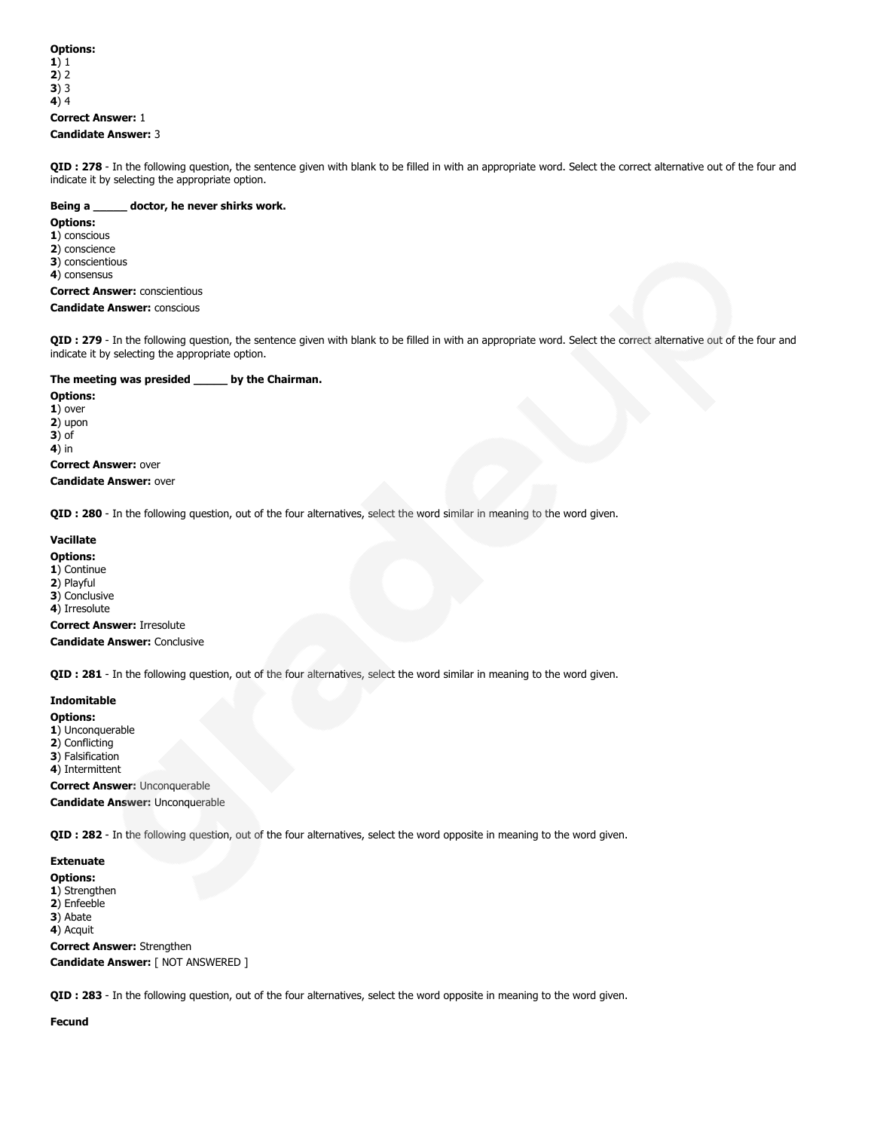## Options: 1) 1 2) 2  $3)$  3 4) 4 Correct Answer: 1 Candidate Answer: 3

QID : 278 - In the following question, the sentence given with blank to be filled in with an appropriate word. Select the correct alternative out of the four and indicate it by selecting the appropriate option.

#### Being a \_\_\_\_\_\_ doctor, he never shirks work.

#### Options:

- 1) conscious
- 2) conscience
- 3) conscientious 4) consensus

# Correct Answer: conscientious

Candidate Answer: conscious

QID : 279 - In the following question, the sentence given with blank to be filled in with an appropriate word. Select the correct alternative out of the four and indicate it by selecting the appropriate option.

## The meeting was presided \_\_\_\_\_ by the Chairman.

Options: 1) over 2) upon 3) of 4) in Correct Answer: over

Candidate Answer: over

QID : 280 - In the following question, out of the four alternatives, select the word similar in meaning to the word given.

## Vacillate

- Options:
- 1) Continue
- 2) Playful
- 3) Conclusive
- 4) Irresolute

Correct Answer: Irresolute Candidate Answer: Conclusive

QID : 281 - In the following question, out of the four alternatives, select the word similar in meaning to the word given.

## Indomitable

## Options:

- 1) Unconquerable
- 2) Conflicting
- 3) Falsification 4) Intermittent

Correct Answer: Unconquerable

Candidate Answer: Unconquerable

QID : 282 - In the following question, out of the four alternatives, select the word opposite in meaning to the word given.

# Extenuate

- Options: 1) Strengthen
- 2) Enfeeble
- 3) Abate
- 4) Acquit

Correct Answer: Strengthen Candidate Answer: [ NOT ANSWERED ]

QID : 283 - In the following question, out of the four alternatives, select the word opposite in meaning to the word given.

Fecund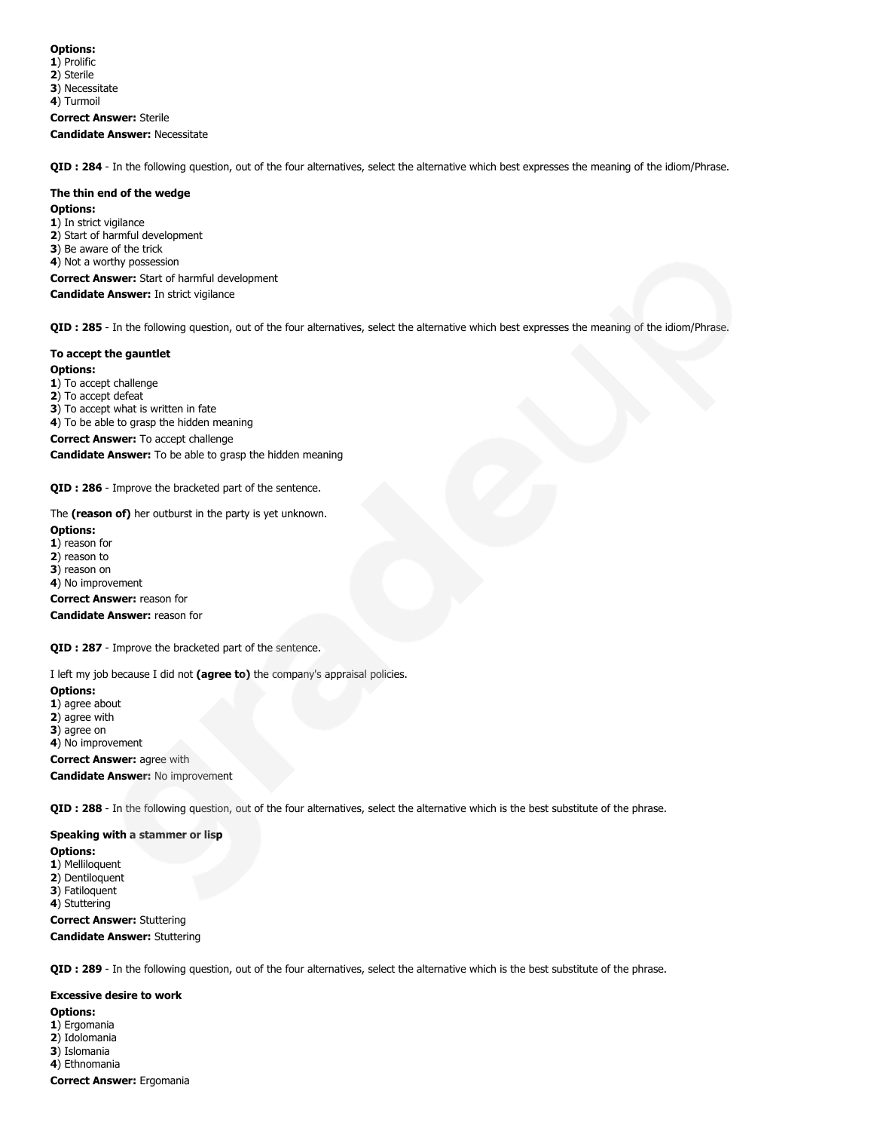1) Prolific

2) Sterile 3) Necessitate

4) Turmoil

Correct Answer: Sterile Candidate Answer: Necessitate

QID : 284 - In the following question, out of the four alternatives, select the alternative which best expresses the meaning of the idiom/Phrase.

#### The thin end of the wedge

#### Options:

1) In strict vigilance 2) Start of harmful development 3) Be aware of the trick 4) Not a worthy possession Correct Answer: Start of harmful development Candidate Answer: In strict vigilance

QID : 285 - In the following question, out of the four alternatives, select the alternative which best expresses the meaning of the idiom/Phrase.

## To accept the gauntlet

Options:

1) To accept challenge

2) To accept defeat

3) To accept what is written in fate

- 4) To be able to grasp the hidden meaning
- Correct Answer: To accept challenge

Candidate Answer: To be able to grasp the hidden meaning

QID : 286 - Improve the bracketed part of the sentence.

The (reason of) her outburst in the party is yet unknown.

#### Options:

1) reason for

- 2) reason to
- 3) reason on

4) No improvement

Correct Answer: reason for

Candidate Answer: reason for

QID : 287 - Improve the bracketed part of the sentence.

I left my job because I did not (agree to) the company's appraisal policies.

#### Options:

- 1) agree about
- 2) agree with
- 3) agree on
- 4) No improvement

Correct Answer: agree with

Candidate Answer: No improvement

QID : 288 - In the following question, out of the four alternatives, select the alternative which is the best substitute of the phrase.

## Speaking with a stammer or lisp

Options:

- 1) Melliloquent
- 2) Dentiloquent 3) Fatiloquent

4) Stuttering

Correct Answer: Stuttering Candidate Answer: Stuttering

QID : 289 - In the following question, out of the four alternatives, select the alternative which is the best substitute of the phrase.

Excessive desire to work Options: 1) Ergomania 2) Idolomania 3) Islomania 4) Ethnomania Correct Answer: Ergomania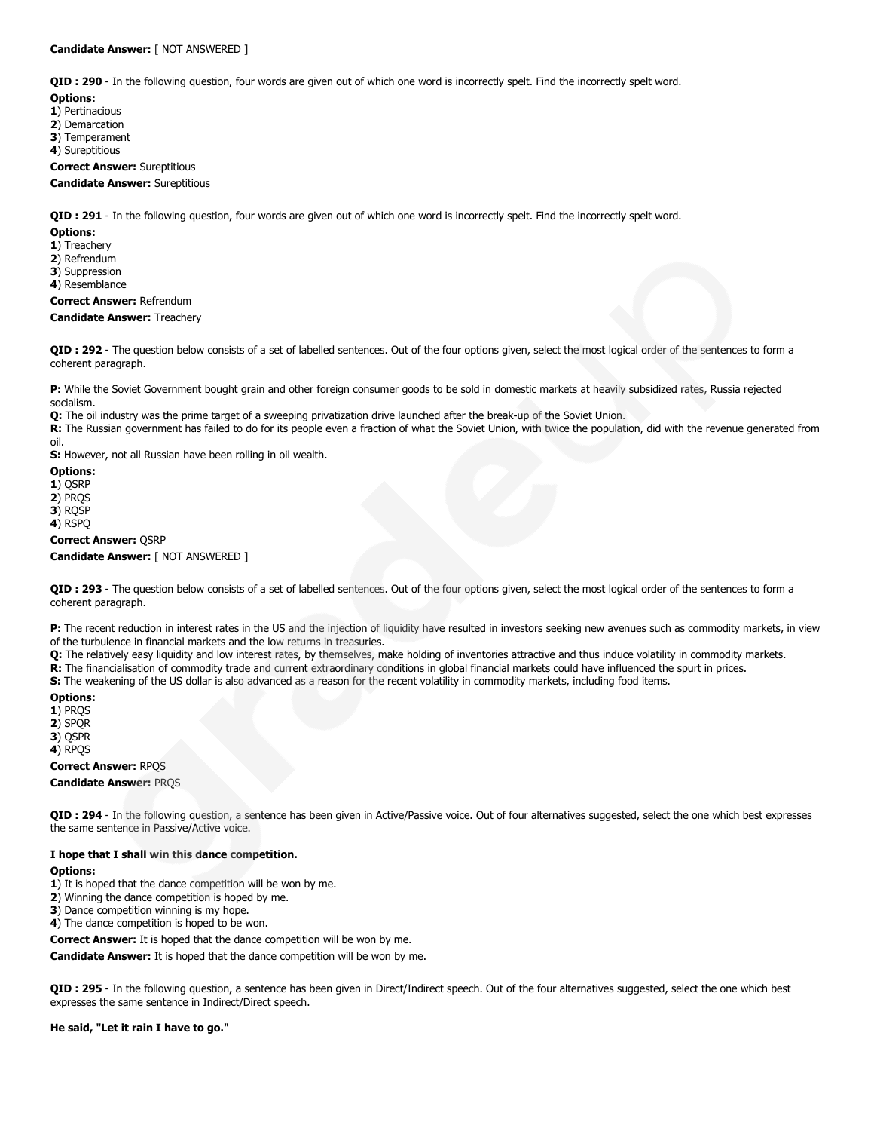QID : 290 - In the following question, four words are given out of which one word is incorrectly spelt. Find the incorrectly spelt word.

#### Options:

- 1) Pertinacious
- 2) Demarcation
- 3) Temperament
- 4) Sureptitious

Correct Answer: Sureptitious

#### Candidate Answer: Sureptitious

QID : 291 - In the following question, four words are given out of which one word is incorrectly spelt. Find the incorrectly spelt word.

#### Options:

- 1) Treachery
- 2) Refrendum
- 3) Suppression
- 4) Resemblance

Correct Answer: Refrendum

#### Candidate Answer: Treachery

QID : 292 - The question below consists of a set of labelled sentences. Out of the four options given, select the most logical order of the sentences to form a coherent paragraph.

P: While the Soviet Government bought grain and other foreign consumer goods to be sold in domestic markets at heavily subsidized rates, Russia rejected socialism.

Q: The oil industry was the prime target of a sweeping privatization drive launched after the break-up of the Soviet Union.

R: The Russian government has failed to do for its people even a fraction of what the Soviet Union, with twice the population, did with the revenue generated from oil.

S: However, not all Russian have been rolling in oil wealth.

## Options:

1) QSRP

2) PRQS

3) RQSP

4) RSPQ

#### Correct Answer: QSRP

Candidate Answer: [ NOT ANSWERED ]

QID : 293 - The question below consists of a set of labelled sentences. Out of the four options given, select the most logical order of the sentences to form a coherent paragraph.

P: The recent reduction in interest rates in the US and the injection of liquidity have resulted in investors seeking new avenues such as commodity markets, in view of the turbulence in financial markets and the low returns in treasuries.

Q: The relatively easy liquidity and low interest rates, by themselves, make holding of inventories attractive and thus induce volatility in commodity markets.

R: The financialisation of commodity trade and current extraordinary conditions in global financial markets could have influenced the spurt in prices.

S: The weakening of the US dollar is also advanced as a reason for the recent volatility in commodity markets, including food items.

## Options:

1) PROS

2) SPQR

3) QSPR

4) RPQS

## Correct Answer: RPQS

Candidate Answer: PRQS

QID : 294 - In the following question, a sentence has been given in Active/Passive voice. Out of four alternatives suggested, select the one which best expresses the same sentence in Passive/Active voice.

## I hope that I shall win this dance competition.

#### Options:

- 1) It is hoped that the dance competition will be won by me.
- 2) Winning the dance competition is hoped by me.
- 3) Dance competition winning is my hope.
- 4) The dance competition is hoped to be won.

Correct Answer: It is hoped that the dance competition will be won by me.

Candidate Answer: It is hoped that the dance competition will be won by me.

QID : 295 - In the following question, a sentence has been given in Direct/Indirect speech. Out of the four alternatives suggested, select the one which best expresses the same sentence in Indirect/Direct speech.

## He said, "Let it rain I have to go."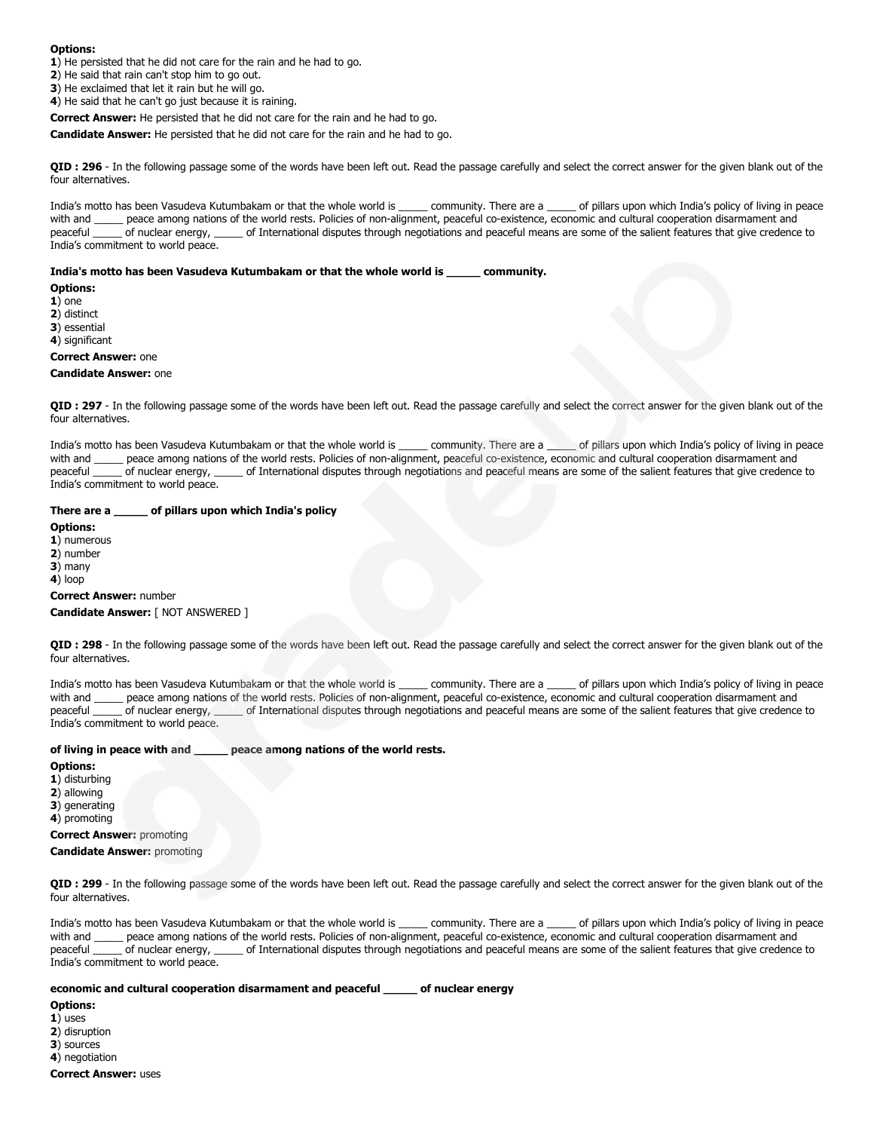- 1) He persisted that he did not care for the rain and he had to go.
- 2) He said that rain can't stop him to go out.
- 3) He exclaimed that let it rain but he will go.
- 4) He said that he can't go just because it is raining.

Correct Answer: He persisted that he did not care for the rain and he had to go.

Candidate Answer: He persisted that he did not care for the rain and he had to go.

QID : 296 - In the following passage some of the words have been left out. Read the passage carefully and select the correct answer for the given blank out of the four alternatives.

India's motto has been Vasudeva Kutumbakam or that the whole world is \_\_\_\_\_ community. There are a \_\_\_\_\_ of pillars upon which India's policy of living in peace with and \_\_\_\_\_ peace among nations of the world rests. Policies of non-alignment, peaceful co-existence, economic and cultural cooperation disarmament and peaceful \_\_\_\_\_ of nuclear energy, \_\_\_\_\_ of International disputes through negotiations and peaceful means are some of the salient features that give credence to India's commitment to world peace.

#### India's motto has been Vasudeva Kutumbakam or that the whole world is \_\_\_\_\_ community.

Options:

1) one 2) distinct

3) essential

4) significant

# Correct Answer: one

## Candidate Answer: one

QID : 297 - In the following passage some of the words have been left out. Read the passage carefully and select the correct answer for the given blank out of the four alternatives.

India's motto has been Vasudeva Kutumbakam or that the whole world is \_\_\_\_\_ community. There are a \_\_\_\_\_ of pillars upon which India's policy of living in peace with and \_\_\_\_\_ peace among nations of the world rests. Policies of non-alignment, peaceful co-existence, economic and cultural cooperation disarmament and peaceful \_\_\_\_\_ of nuclear energy, \_\_\_\_\_ of International disputes through negotiations and peaceful means are some of the salient features that give credence to India's commitment to world peace.

#### There are a \_\_\_\_\_ of pillars upon which India's policy

Options:

1) numerous

2) number

3) many

4) loop

Correct Answer: number

## Candidate Answer: [ NOT ANSWERED ]

QID : 298 - In the following passage some of the words have been left out. Read the passage carefully and select the correct answer for the given blank out of the four alternatives.

India's motto has been Vasudeva Kutumbakam or that the whole world is \_\_\_\_\_\_ community. There are a \_\_\_\_\_ of pillars upon which India's policy of living in peace with and \_\_\_\_\_ peace among nations of the world rests. Policies of non-alignment, peaceful co-existence, economic and cultural cooperation disarmament and peaceful \_\_\_\_\_ of nuclear energy, \_\_\_\_\_ of International disputes through negotiations and peaceful means are some of the salient features that give credence to India's commitment to world peace.

#### of living in peace with and \_\_\_\_\_ peace among nations of the world rests.

#### Options:

- 1) disturbing
- 2) allowing
- 3) generating
- 4) promoting

Correct Answer: promoting

## Candidate Answer: promoting

QID : 299 - In the following passage some of the words have been left out. Read the passage carefully and select the correct answer for the given blank out of the four alternatives.

India's motto has been Vasudeva Kutumbakam or that the whole world is community. There are a \_\_\_\_\_ of pillars upon which India's policy of living in peace with and \_\_\_\_\_ peace among nations of the world rests. Policies of non-alignment, peaceful co-existence, economic and cultural cooperation disarmament and peaceful \_\_\_\_\_ of nuclear energy, \_\_\_\_\_ of International disputes through negotiations and peaceful means are some of the salient features that give credence to India's commitment to world peace.

#### economic and cultural cooperation disarmament and peaceful \_\_\_\_\_ of nuclear energy

Options:

- 1) uses
- 2) disruption
- 3) sources
- 4) negotiation
- Correct Answer: uses